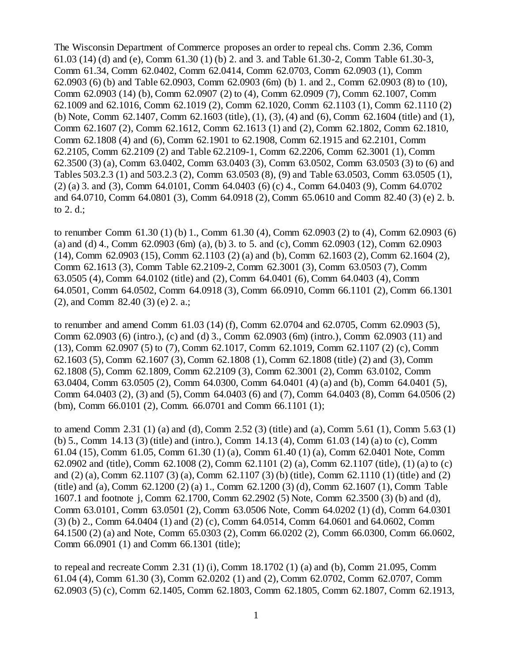The Wisconsin Department of Commerce proposes an order to repeal chs. Comm 2.36, Comm 61.03 (14) (d) and (e), Comm 61.30 (1) (b) 2. and 3. and Table 61.30-2, Comm Table 61.30-3, Comm 61.34, Comm 62.0402, Comm 62.0414, Comm 62.0703, Comm 62.0903 (1), Comm 62.0903 (6) (b) and Table 62.0903, Comm 62.0903 (6m) (b) 1. and 2., Comm 62.0903 (8) to (10), Comm 62.0903 (14) (b), Comm 62.0907 (2) to (4), Comm 62.0909 (7), Comm 62.1007, Comm 62.1009 and 62.1016, Comm 62.1019 (2), Comm 62.1020, Comm 62.1103 (1), Comm 62.1110 (2) (b) Note, Comm 62.1407, Comm 62.1603 (title), (1), (3), (4) and (6), Comm 62.1604 (title) and (1), Comm 62.1607 (2), Comm 62.1612, Comm 62.1613 (1) and (2), Comm 62.1802, Comm 62.1810, Comm 62.1808 (4) and (6), Comm 62.1901 to 62.1908, Comm 62.1915 and 62.2101, Comm 62.2105, Comm 62.2109 (2) and Table 62.2109-1, Comm 62.2206, Comm 62.3001 (1), Comm 62.3500 (3) (a), Comm 63.0402, Comm 63.0403 (3), Comm 63.0502, Comm 63.0503 (3) to (6) and Tables 503.2.3 (1) and 503.2.3 (2), Comm 63.0503 (8), (9) and Table 63.0503, Comm 63.0505 (1), (2) (a) 3. and (3), Comm 64.0101, Comm 64.0403 (6) (c) 4., Comm 64.0403 (9), Comm 64.0702 and 64.0710, Comm 64.0801 (3), Comm 64.0918 (2), Comm 65.0610 and Comm 82.40 (3) (e) 2. b. to 2. d.;

to renumber Comm 61.30 (1) (b) 1., Comm 61.30 (4), Comm 62.0903 (2) to (4), Comm 62.0903 (6) (a) and (d) 4., Comm 62.0903 (6m) (a), (b) 3. to 5. and (c), Comm 62.0903 (12), Comm 62.0903 (14), Comm 62.0903 (15), Comm 62.1103 (2) (a) and (b), Comm 62.1603 (2), Comm 62.1604 (2), Comm 62.1613 (3), Comm Table 62.2109-2, Comm 62.3001 (3), Comm 63.0503 (7), Comm 63.0505 (4), Comm 64.0102 (title) and (2), Comm 64.0401 (6), Comm 64.0403 (4), Comm 64.0501, Comm 64.0502, Comm 64.0918 (3), Comm 66.0910, Comm 66.1101 (2), Comm 66.1301 (2), and Comm 82.40 (3) (e) 2. a.;

to renumber and amend Comm 61.03 (14) (f), Comm 62.0704 and 62.0705, Comm 62.0903 (5), Comm 62.0903 (6) (intro.), (c) and (d) 3., Comm 62.0903 (6m) (intro.), Comm 62.0903 (11) and (13), Comm 62.0907 (5) to (7), Comm 62.1017, Comm 62.1019, Comm 62.1107 (2) (c), Comm 62.1603 (5), Comm 62.1607 (3), Comm 62.1808 (1), Comm 62.1808 (title) (2) and (3), Comm 62.1808 (5), Comm 62.1809, Comm 62.2109 (3), Comm 62.3001 (2), Comm 63.0102, Comm 63.0404, Comm 63.0505 (2), Comm 64.0300, Comm 64.0401 (4) (a) and (b), Comm 64.0401 (5), Comm 64.0403 (2), (3) and (5), Comm 64.0403 (6) and (7), Comm 64.0403 (8), Comm 64.0506 (2) (bm), Comm 66.0101 (2), Comm. 66.0701 and Comm 66.1101 (1);

to amend Comm 2.31 (1) (a) and (d), Comm 2.52 (3) (title) and (a), Comm 5.61 (1), Comm 5.63 (1) (b) 5., Comm 14.13 (3) (title) and (intro.), Comm 14.13 (4), Comm 61.03 (14) (a) to (c), Comm 61.04 (15), Comm 61.05, Comm 61.30 (1) (a), Comm 61.40 (1) (a), Comm 62.0401 Note, Comm 62.0902 and (title), Comm 62.1008 (2), Comm 62.1101 (2) (a), Comm 62.1107 (title), (1) (a) to (c) and (2) (a), Comm 62.1107 (3) (a), Comm 62.1107 (3) (b) (title), Comm 62.1110 (1) (title) and (2) (title) and (a), Comm 62.1200 (2) (a) 1., Comm 62.1200 (3) (d), Comm 62.1607 (1), Comm Table 1607.1 and footnote j, Comm 62.1700, Comm 62.2902 (5) Note, Comm 62.3500 (3) (b) and (d), Comm 63.0101, Comm 63.0501 (2), Comm 63.0506 Note, Comm 64.0202 (1) (d), Comm 64.0301 (3) (b) 2., Comm 64.0404 (1) and (2) (c), Comm 64.0514, Comm 64.0601 and 64.0602, Comm 64.1500 (2) (a) and Note, Comm 65.0303 (2), Comm 66.0202 (2), Comm 66.0300, Comm 66.0602, Comm 66.0901 (1) and Comm 66.1301 (title);

to repeal and recreate Comm 2.31 (1) (i), Comm 18.1702 (1) (a) and (b), Comm 21.095, Comm 61.04 (4), Comm 61.30 (3), Comm 62.0202 (1) and (2), Comm 62.0702, Comm 62.0707, Comm 62.0903 (5) (c), Comm 62.1405, Comm 62.1803, Comm 62.1805, Comm 62.1807, Comm 62.1913,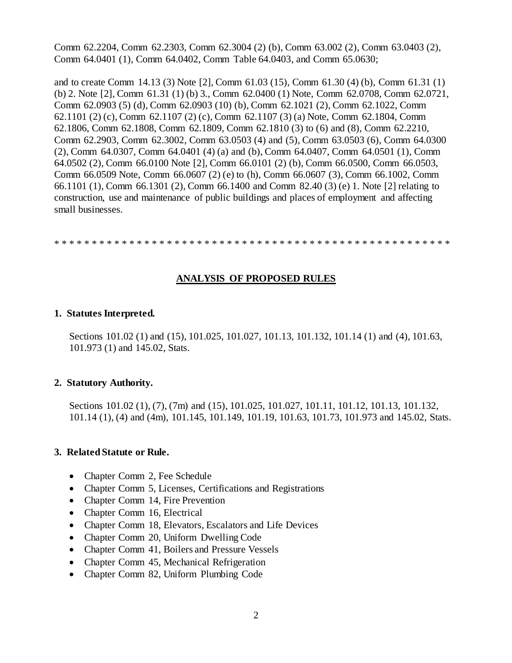Comm 62.2204, Comm 62.2303, Comm 62.3004 (2) (b), Comm 63.002 (2), Comm 63.0403 (2), Comm 64.0401 (1), Comm 64.0402, Comm Table 64.0403, and Comm 65.0630;

and to create Comm 14.13 (3) Note [2], Comm 61.03 (15), Comm 61.30 (4) (b), Comm 61.31 (1) (b) 2. Note [2], Comm 61.31 (1) (b) 3., Comm 62.0400 (1) Note, Comm 62.0708, Comm 62.0721, Comm 62.0903 (5) (d), Comm 62.0903 (10) (b), Comm 62.1021 (2), Comm 62.1022, Comm 62.1101 (2) (c), Comm 62.1107 (2) (c), Comm 62.1107 (3) (a) Note, Comm 62.1804, Comm 62.1806, Comm 62.1808, Comm 62.1809, Comm 62.1810 (3) to (6) and (8), Comm 62.2210, Comm 62.2903, Comm 62.3002, Comm 63.0503 (4) and (5), Comm 63.0503 (6), Comm 64.0300 (2), Comm 64.0307, Comm 64.0401 (4) (a) and (b), Comm 64.0407, Comm 64.0501 (1), Comm 64.0502 (2), Comm 66.0100 Note [2], Comm 66.0101 (2) (b), Comm 66.0500, Comm 66.0503, Comm 66.0509 Note, Comm 66.0607 (2) (e) to (h), Comm 66.0607 (3), Comm 66.1002, Comm 66.1101 (1), Comm 66.1301 (2), Comm 66.1400 and Comm 82.40 (3) (e) 1. Note [2] relating to construction, use and maintenance of public buildings and places of employment and affecting small businesses.

\* \* \* \* \* \* \* \* \* \* \* \* \* \* \* \* \* \* \* \* \* \* \* \* \* \* \* \* \* \* \* \* \* \* \* \* \* \* \* \* \* \* \* \* \* \* \* \* \* \* \* \* \*

### **ANALYSIS OF PROPOSED RULES**

#### **1. Statutes Interpreted.**

Sections 101.02 (1) and (15), 101.025, 101.027, 101.13, 101.132, 101.14 (1) and (4), 101.63, 101.973 (1) and 145.02, Stats.

### **2. Statutory Authority.**

Sections 101.02 (1), (7), (7m) and (15), 101.025, 101.027, 101.11, 101.12, 101.13, 101.132, 101.14 (1), (4) and (4m), 101.145, 101.149, 101.19, 101.63, 101.73, 101.973 and 145.02, Stats.

#### **3. Related Statute or Rule.**

- Chapter Comm 2, Fee Schedule
- Chapter Comm 5, Licenses, Certifications and Registrations
- Chapter Comm 14, Fire Prevention
- Chapter Comm 16, Electrical
- Chapter Comm 18, Elevators, Escalators and Life Devices
- Chapter Comm 20, Uniform Dwelling Code
- Chapter Comm 41, Boilers and Pressure Vessels
- Chapter Comm 45, Mechanical Refrigeration
- Chapter Comm 82, Uniform Plumbing Code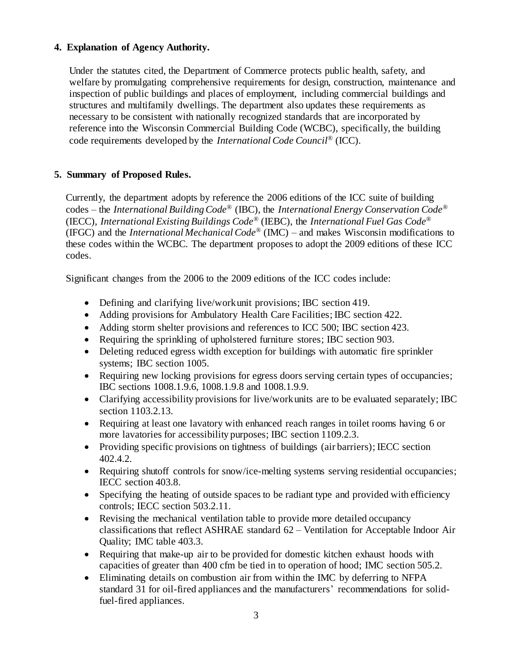### **4. Explanation of Agency Authority.**

Under the statutes cited, the Department of Commerce protects public health, safety, and welfare by promulgating comprehensive requirements for design, construction, maintenance and inspection of public buildings and places of employment, including commercial buildings and structures and multifamily dwellings. The department also updates these requirements as necessary to be consistent with nationally recognized standards that are incorporated by reference into the Wisconsin Commercial Building Code (WCBC), specifically, the building code requirements developed by the *International Code Council*® (ICC).

## **5. Summary of Proposed Rules.**

Currently, the department adopts by reference the 2006 editions of the ICC suite of building codes – the *International Building Code*® (IBC), the *International Energy Conservation Code*® (IECC), *International Existing Buildings Code®* (IEBC), the *International Fuel Gas Code*® (IFGC) and the *International Mechanical Code*® (IMC) – and makes Wisconsin modifications to these codes within the WCBC. The department proposes to adopt the 2009 editions of these ICC codes.

Significant changes from the 2006 to the 2009 editions of the ICC codes include:

- Defining and clarifying live/work unit provisions; IBC section 419.
- Adding provisions for Ambulatory Health Care Facilities; IBC section 422.
- Adding storm shelter provisions and references to ICC 500; IBC section 423.
- Requiring the sprinkling of upholstered furniture stores; IBC section 903.
- Deleting reduced egress width exception for buildings with automatic fire sprinkler systems; IBC section 1005.
- Requiring new locking provisions for egress doors serving certain types of occupancies; IBC sections 1008.1.9.6, 1008.1.9.8 and 1008.1.9.9.
- Clarifying accessibility provisions for live/work units are to be evaluated separately; IBC section 1103.2.13.
- Requiring at least one lavatory with enhanced reach ranges in toilet rooms having 6 or more lavatories for accessibility purposes; IBC section 1109.2.3.
- Providing specific provisions on tightness of buildings (air barriers); IECC section 402.4.2.
- Requiring shutoff controls for snow/ice-melting systems serving residential occupancies; IECC section 403.8.
- Specifying the heating of outside spaces to be radiant type and provided with efficiency controls; IECC section 503.2.11.
- Revising the mechanical ventilation table to provide more detailed occupancy classifications that reflect ASHRAE standard 62 – Ventilation for Acceptable Indoor Air Quality; IMC table 403.3.
- Requiring that make-up air to be provided for domestic kitchen exhaust hoods with capacities of greater than 400 cfm be tied in to operation of hood; IMC section 505.2.
- Eliminating details on combustion air from within the IMC by deferring to NFPA standard 31 for oil-fired appliances and the manufacturers' recommendations for solidfuel-fired appliances.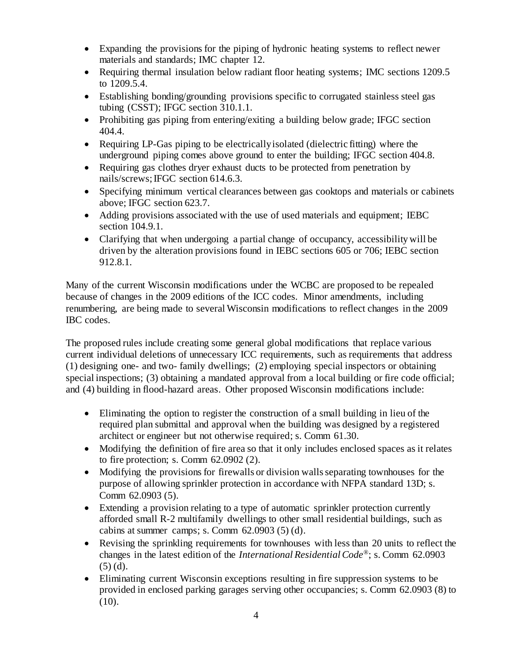- Expanding the provisions for the piping of hydronic heating systems to reflect newer materials and standards; IMC chapter 12.
- Requiring thermal insulation below radiant floor heating systems; IMC sections 1209.5 to 1209.5.4.
- Establishing bonding/grounding provisions specific to corrugated stainless steel gas tubing (CSST); IFGC section 310.1.1.
- Prohibiting gas piping from entering/exiting a building below grade; IFGC section 404.4.
- Requiring LP-Gas piping to be electrically isolated (dielectric fitting) where the underground piping comes above ground to enter the building; IFGC section 404.8.
- Requiring gas clothes dryer exhaust ducts to be protected from penetration by nails/screws; IFGC section 614.6.3.
- Specifying minimum vertical clearances between gas cooktops and materials or cabinets above; IFGC section 623.7.
- Adding provisions associated with the use of used materials and equipment; IEBC section 104.9.1.
- Clarifying that when undergoing a partial change of occupancy, accessibility will be driven by the alteration provisions found in IEBC sections 605 or 706; IEBC section 912.8.1.

Many of the current Wisconsin modifications under the WCBC are proposed to be repealed because of changes in the 2009 editions of the ICC codes. Minor amendments, including renumbering, are being made to several Wisconsin modifications to reflect changes in the 2009 IBC codes.

The proposed rules include creating some general global modifications that replace various current individual deletions of unnecessary ICC requirements, such as requirements that address (1) designing one- and two- family dwellings; (2) employing special inspectors or obtaining special inspections; (3) obtaining a mandated approval from a local building or fire code official; and (4) building in flood-hazard areas. Other proposed Wisconsin modifications include:

- Eliminating the option to register the construction of a small building in lieu of the required plan submittal and approval when the building was designed by a registered architect or engineer but not otherwise required; s. Comm 61.30.
- Modifying the definition of fire area so that it only includes enclosed spaces as it relates to fire protection; s. Comm 62.0902 (2).
- Modifying the provisions for firewalls or division walls separating townhouses for the purpose of allowing sprinkler protection in accordance with NFPA standard 13D; s. Comm 62.0903 (5).
- Extending a provision relating to a type of automatic sprinkler protection currently afforded small R-2 multifamily dwellings to other small residential buildings, such as cabins at summer camps; s. Comm  $62.0903$  (5) (d).
- Revising the sprinkling requirements for townhouses with less than 20 units to reflect the changes in the latest edition of the *International Residential Code*®; s. Comm 62.0903 (5) (d).
- Eliminating current Wisconsin exceptions resulting in fire suppression systems to be provided in enclosed parking garages serving other occupancies; s. Comm 62.0903 (8) to  $(10).$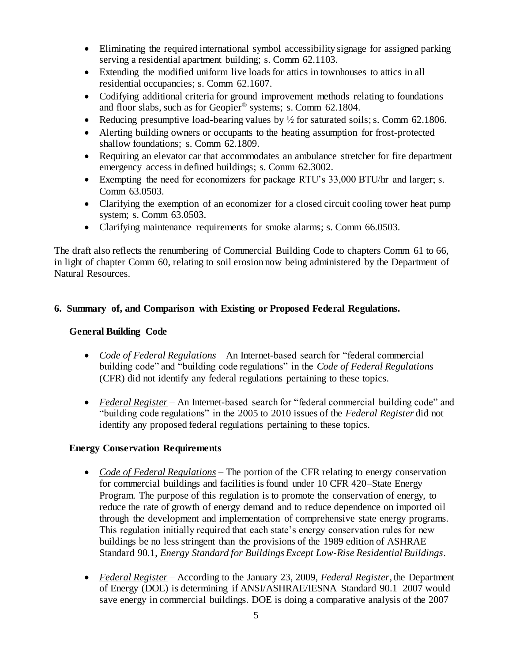- Eliminating the required international symbol accessibility signage for assigned parking serving a residential apartment building; s. Comm 62.1103.
- Extending the modified uniform live loads for attics in townhouses to attics in all residential occupancies; s. Comm 62.1607.
- Codifying additional criteria for ground improvement methods relating to foundations and floor slabs, such as for Geopier® systems; s. Comm 62.1804.
- Reducing presumptive load-bearing values by  $\frac{1}{2}$  for saturated soils; s. Comm 62.1806.
- Alerting building owners or occupants to the heating assumption for frost-protected shallow foundations; s. Comm 62.1809.
- Requiring an elevator car that accommodates an ambulance stretcher for fire department emergency access in defined buildings; s. Comm 62.3002.
- Exempting the need for economizers for package RTU's 33,000 BTU/hr and larger; s. Comm 63.0503.
- Clarifying the exemption of an economizer for a closed circuit cooling tower heat pump system; s. Comm 63.0503.
- Clarifying maintenance requirements for smoke alarms; s. Comm 66.0503.

The draft also reflects the renumbering of Commercial Building Code to chapters Comm 61 to 66, in light of chapter Comm 60, relating to soil erosion now being administered by the Department of Natural Resources.

# **6. Summary of, and Comparison with Existing or Proposed Federal Regulations.**

# **General Building Code**

- *Code of Federal Regulations* An Internet-based search for "federal commercial building code" and "building code regulations" in the *Code of Federal Regulations* (CFR) did not identify any federal regulations pertaining to these topics.
- *Federal Register* An Internet-based search for "federal commercial building code" and "building code regulations" in the 2005 to 2010 issues of the *Federal Register* did not identify any proposed federal regulations pertaining to these topics.

## **Energy Conservation Requirements**

- *Code of Federal Regulations* The portion of the CFR relating to energy conservation for commercial buildings and facilities is found under 10 CFR 420–State Energy Program. The purpose of this regulation is to promote the conservation of energy, to reduce the rate of growth of energy demand and to reduce dependence on imported oil through the development and implementation of comprehensive state energy programs. This regulation initially required that each state's energy conservation rules for new buildings be no less stringent than the provisions of the 1989 edition of ASHRAE Standard 90.1, *Energy Standard for Buildings Except Low-Rise Residential Buildings*.
- *Federal Register –* According to the January 23, 2009, *Federal Register*, the Department of Energy (DOE) is determining if ANSI/ASHRAE/IESNA Standard 90.1–2007 would save energy in commercial buildings. DOE is doing a comparative analysis of the 2007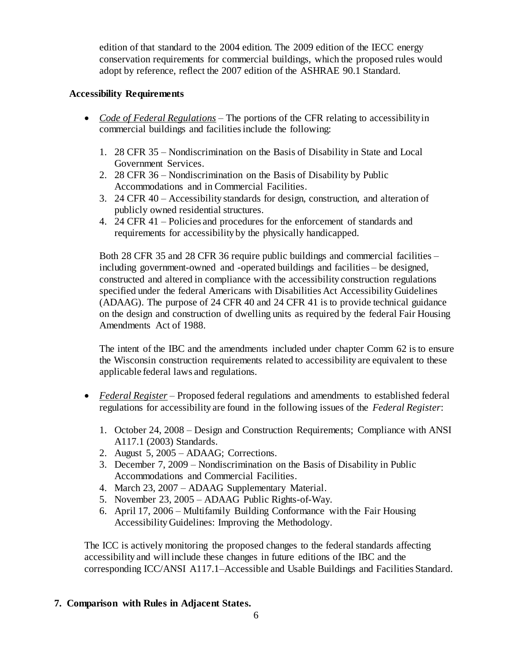edition of that standard to the 2004 edition. The 2009 edition of the IECC energy conservation requirements for commercial buildings, which the proposed rules would adopt by reference, reflect the 2007 edition of the ASHRAE 90.1 Standard.

### **Accessibility Requirements**

- *Code of Federal Regulations* The portions of the CFR relating to accessibility in commercial buildings and facilities include the following:
	- 1. 28 CFR 35 Nondiscrimination on the Basis of Disability in State and Local Government Services.
	- 2. 28 CFR 36 Nondiscrimination on the Basis of Disability by Public Accommodations and in Commercial Facilities.
	- 3. 24 CFR 40 Accessibility standards for design, construction, and alteration of publicly owned residential structures.
	- 4. 24 CFR 41 Policies and procedures for the enforcement of standards and requirements for accessibility by the physically handicapped.

Both 28 CFR 35 and 28 CFR 36 require public buildings and commercial facilities – including government-owned and -operated buildings and facilities – be designed, constructed and altered in compliance with the accessibility construction regulations specified under the federal Americans with Disabilities Act Accessibility Guidelines (ADAAG). The purpose of 24 CFR 40 and 24 CFR 41 is to provide technical guidance on the design and construction of dwelling units as required by the federal Fair Housing Amendments Act of 1988.

The intent of the IBC and the amendments included under chapter Comm 62 is to ensure the Wisconsin construction requirements related to accessibility are equivalent to these applicable federal laws and regulations.

- *Federal Register* Proposed federal regulations and amendments to established federal regulations for accessibility are found in the following issues of the *Federal Register*:
	- 1. October 24, 2008 Design and Construction Requirements; Compliance with ANSI A117.1 (2003) Standards.
	- 2. August 5, 2005 ADAAG; Corrections.
	- 3. December 7, 2009 Nondiscrimination on the Basis of Disability in Public Accommodations and Commercial Facilities.
	- 4. March 23, 2007 ADAAG Supplementary Material.
	- 5. November 23, 2005 ADAAG Public Rights-of-Way.
	- 6. April 17, 2006 Multifamily Building Conformance with the Fair Housing Accessibility Guidelines: Improving the Methodology.

The ICC is actively monitoring the proposed changes to the federal standards affecting accessibility and will include these changes in future editions of the IBC and the corresponding ICC/ANSI A117.1–Accessible and Usable Buildings and Facilities Standard.

## **7. Comparison with Rules in Adjacent States.**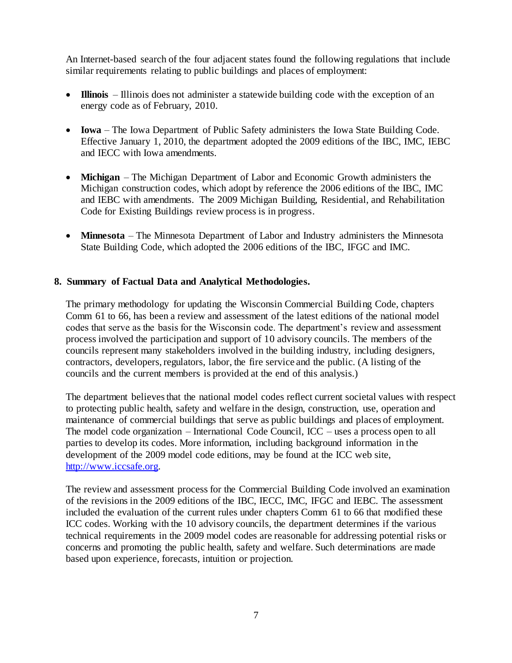An Internet-based search of the four adjacent states found the following regulations that include similar requirements relating to public buildings and places of employment:

- **Illinois** Illinois does not administer a statewide building code with the exception of an energy code as of February, 2010.
- **Iowa** The Iowa Department of Public Safety administers the Iowa State Building Code. Effective January 1, 2010, the department adopted the 2009 editions of the IBC, IMC, IEBC and IECC with Iowa amendments.
- **Michigan** The Michigan Department of Labor and Economic Growth administers the Michigan construction codes, which adopt by reference the 2006 editions of the IBC, IMC and IEBC with amendments. The 2009 Michigan Building, Residential, and Rehabilitation Code for Existing Buildings review process is in progress.
- **Minnesota** The Minnesota Department of Labor and Industry administers the Minnesota State Building Code, which adopted the 2006 editions of the IBC, IFGC and IMC.

### **8. Summary of Factual Data and Analytical Methodologies.**

The primary methodology for updating the Wisconsin Commercial Building Code, chapters Comm 61 to 66, has been a review and assessment of the latest editions of the national model codes that serve as the basis for the Wisconsin code. The department's review and assessment process involved the participation and support of 10 advisory councils. The members of the councils represent many stakeholders involved in the building industry, including designers, contractors, developers, regulators, labor, the fire service and the public. (A listing of the councils and the current members is provided at the end of this analysis.)

The department believes that the national model codes reflect current societal values with respect to protecting public health, safety and welfare in the design, construction, use, operation and maintenance of commercial buildings that serve as public buildings and places of employment. The model code organization – International Code Council, ICC – uses a process open to all parties to develop its codes. More information, including background information in the development of the 2009 model code editions, may be found at the ICC web site, [http://www.iccsafe.org.](http://www.iccsafe.org/)

The review and assessment process for the Commercial Building Code involved an examination of the revisions in the 2009 editions of the IBC, IECC, IMC, IFGC and IEBC. The assessment included the evaluation of the current rules under chapters Comm 61 to 66 that modified these ICC codes. Working with the 10 advisory councils, the department determines if the various technical requirements in the 2009 model codes are reasonable for addressing potential risks or concerns and promoting the public health, safety and welfare. Such determinations are made based upon experience, forecasts, intuition or projection.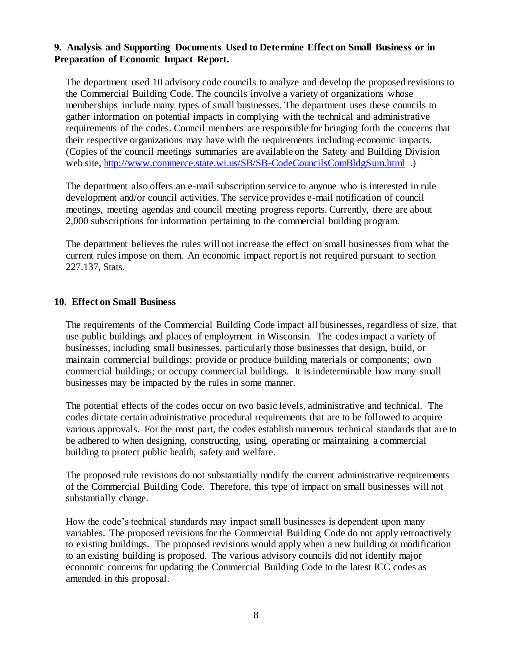### **9. Analysis and Supporting Documents Used to Determine Effect on Small Business or in Preparation of Economic Impact Report.**

The department used 10 advisory code councils to analyze and develop the proposed revisions to the Commercial Building Code. The councils involve a variety of organizations whose memberships include many types of small businesses. The department uses these councils to gather information on potential impacts in complying with the technical and administrative requirements of the codes. Council members are responsible for bringing forth the concerns that their respective organizations may have with the requirements including economic impacts. (Copies of the council meetings summaries are available on the Safety and Building Division web site, <http://www.commerce.state.wi.us/SB/SB-CodeCouncilsComBldgSum.html> .)

The department also offers an e-mail subscription service to anyone who is interested in rule development and/or council activities. The service provides e-mail notification of council meetings, meeting agendas and council meeting progress reports. Currently, there are about 2,000 subscriptions for information pertaining to the commercial building program.

The department believes the rules will not increase the effect on small businesses from what the current rules impose on them. An economic impact report is not required pursuant to section 227.137, Stats.

### **10. Effect on Small Business**

The requirements of the Commercial Building Code impact all businesses, regardless of size, that use public buildings and places of employment in Wisconsin. The codes impact a variety of businesses, including small businesses, particularly those businesses that design, build, or maintain commercial buildings; provide or produce building materials or components; own commercial buildings; or occupy commercial buildings. It is indeterminable how many small businesses may be impacted by the rules in some manner.

The potential effects of the codes occur on two basic levels, administrative and technical. The codes dictate certain administrative procedural requirements that are to be followed to acquire various approvals. For the most part, the codes establish numerous technical standards that are to be adhered to when designing, constructing, using, operating or maintaining a commercial building to protect public health, safety and welfare.

The proposed rule revisions do not substantially modify the current administrative requirements of the Commercial Building Code. Therefore, this type of impact on small businesses will not substantially change.

How the code's technical standards may impact small businesses is dependent upon many variables. The proposed revisions for the Commercial Building Code do not apply retroactively to existing buildings. The proposed revisions would apply when a new building or modification to an existing building is proposed. The various advisory councils did not identify major economic concerns for updating the Commercial Building Code to the latest ICC codes as amended in this proposal.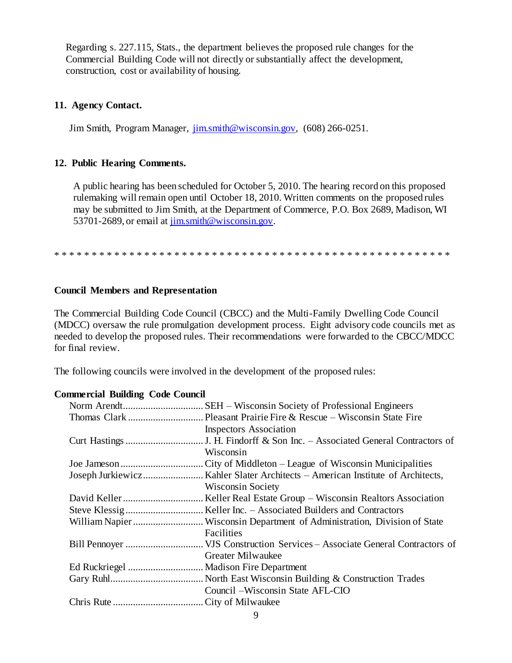Regarding s. 227.115, Stats., the department believes the proposed rule changes for the Commercial Building Code will not directly or substantially affect the development, construction, cost or availability of housing.

### **11. Agency Contact.**

Jim Smith, Program Manager,  $\overline{\lim_{m \to \infty}}$  (608) 266-0251.

### **12. Public Hearing Comments.**

A public hearing has been scheduled for October 5, 2010. The hearing record on this proposed rulemaking will remain open until October 18, 2010. Written comments on the proposed rules may be submitted to Jim Smith, at the Department of Commerce, P.O. Box 2689, Madison, WI 53701-2689, or email at [jim.smith@wisconsin.gov.](mailto:jim.smith@wisconsin.gov)

\* \* \* \* \* \* \* \* \* \* \* \* \* \* \* \* \* \* \* \* \* \* \* \* \* \* \* \* \* \* \* \* \* \* \* \* \* \* \* \* \* \* \* \* \* \* \* \* \* \* \* \* \*

### **Council Members and Representation**

The Commercial Building Code Council (CBCC) and the Multi-Family Dwelling Code Council (MDCC) oversaw the rule promulgation development process. Eight advisory code councils met as needed to develop the proposed rules. Their recommendations were forwarded to the CBCC/MDCC for final review.

The following councils were involved in the development of the proposed rules:

### **Commercial Building Code Council**

| <b>Inspectors Association</b>    |
|----------------------------------|
|                                  |
| Wisconsin                        |
|                                  |
|                                  |
| <b>Wisconsin Society</b>         |
|                                  |
|                                  |
|                                  |
| Facilities                       |
|                                  |
| Greater Milwaukee                |
|                                  |
|                                  |
| Council –Wisconsin State AFL-CIO |
|                                  |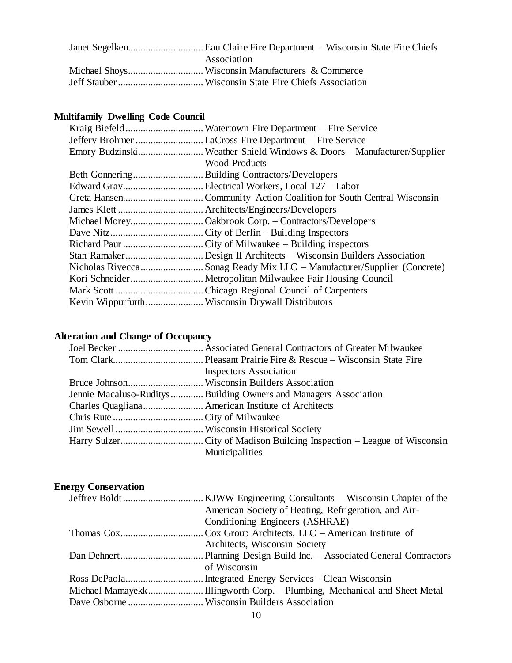| Association |
|-------------|
|             |
|             |

# **Multifamily Dwelling Code Council**

| Emory BudzinskiWeather Shield Windows & Doors - Manufacturer/Supplier<br><b>Wood Products</b><br>Nicholas RiveccaSonag Ready Mix LLC – Manufacturer/Supplier (Concrete) |  |
|-------------------------------------------------------------------------------------------------------------------------------------------------------------------------|--|
|                                                                                                                                                                         |  |
|                                                                                                                                                                         |  |
|                                                                                                                                                                         |  |
|                                                                                                                                                                         |  |
|                                                                                                                                                                         |  |
|                                                                                                                                                                         |  |
|                                                                                                                                                                         |  |
|                                                                                                                                                                         |  |
|                                                                                                                                                                         |  |
|                                                                                                                                                                         |  |
|                                                                                                                                                                         |  |
|                                                                                                                                                                         |  |
|                                                                                                                                                                         |  |
|                                                                                                                                                                         |  |
|                                                                                                                                                                         |  |

# **Alteration and Change of Occupancy**

| <b>Inspectors Association</b>                                     |
|-------------------------------------------------------------------|
|                                                                   |
| Jennie Macaluso-Ruditys  Building Owners and Managers Association |
|                                                                   |
|                                                                   |
|                                                                   |
|                                                                   |
| Municipalities                                                    |
|                                                                   |

# **Energy Conservation**

| American Society of Heating, Refrigeration, and Air- |
|------------------------------------------------------|
| Conditioning Engineers (ASHRAE)                      |
|                                                      |
| Architects, Wisconsin Society                        |
|                                                      |
| of Wisconsin                                         |
|                                                      |
|                                                      |
|                                                      |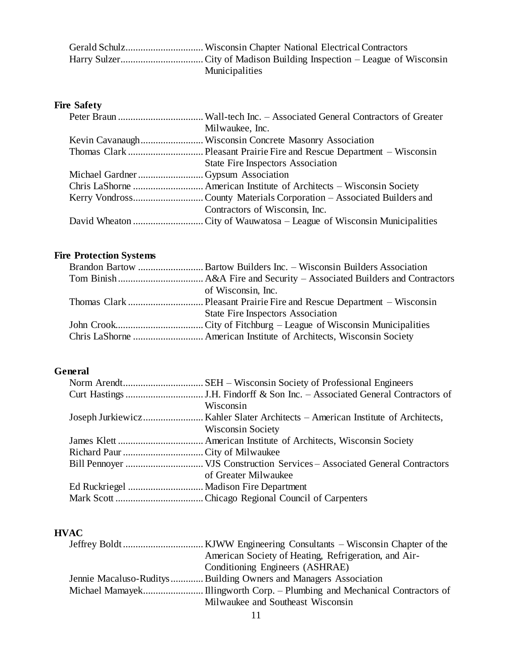| <b>Municipalities</b> |
|-----------------------|

# **Fire Safety**

|                                   | Milwaukee, Inc.                   |
|-----------------------------------|-----------------------------------|
|                                   |                                   |
|                                   |                                   |
|                                   | State Fire Inspectors Association |
| Michael GardnerGypsum Association |                                   |
|                                   |                                   |
|                                   |                                   |
|                                   | Contractors of Wisconsin, Inc.    |
|                                   |                                   |

# **Fire Protection Systems**

| of Wisconsin, Inc.                |
|-----------------------------------|
|                                   |
| State Fire Inspectors Association |
|                                   |
|                                   |

# **General**

| Wisconsin                |
|--------------------------|
|                          |
| <b>Wisconsin Society</b> |
|                          |
|                          |
|                          |
| of Greater Milwaukee     |
|                          |
|                          |

# **HVAC**

| American Society of Heating, Refrigeration, and Air-              |
|-------------------------------------------------------------------|
| Conditioning Engineers (ASHRAE)                                   |
| Jennie Macaluso-Ruditys  Building Owners and Managers Association |
|                                                                   |
| Milwaukee and Southeast Wisconsin                                 |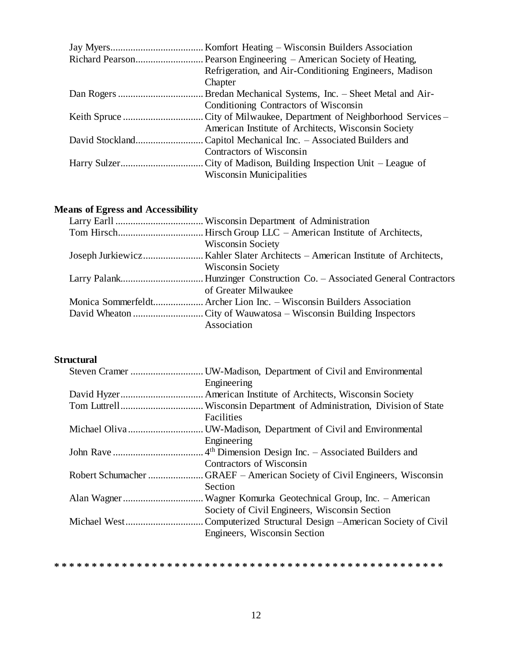| Refrigeration, and Air-Conditioning Engineers, Madison |
|--------------------------------------------------------|
| Chapter                                                |
|                                                        |
| Conditioning Contractors of Wisconsin                  |
|                                                        |
| American Institute of Architects, Wisconsin Society    |
|                                                        |
| Contractors of Wisconsin                               |
|                                                        |
| <b>Wisconsin Municipalities</b>                        |
|                                                        |

# **Means of Egress and Accessibility**

| <b>Wisconsin Society</b>                                             |
|----------------------------------------------------------------------|
|                                                                      |
| <b>Wisconsin Society</b>                                             |
|                                                                      |
| of Greater Milwaukee                                                 |
| Monica Sommerfeldt Archer Lion Inc. – Wisconsin Builders Association |
|                                                                      |
| Association                                                          |

# **Structural**

|                   | . UW-Madison, Department of Civil and Environmental             |
|-------------------|-----------------------------------------------------------------|
|                   | Engineering                                                     |
|                   |                                                                 |
|                   |                                                                 |
|                   | Facilities                                                      |
|                   |                                                                 |
|                   | Engineering                                                     |
|                   | 4 <sup>th</sup> Dimension Design Inc. – Associated Builders and |
|                   | Contractors of Wisconsin                                        |
| Robert Schumacher | . GRAEF – American Society of Civil Engineers, Wisconsin        |
|                   | Section                                                         |
|                   |                                                                 |
|                   | Society of Civil Engineers, Wisconsin Section                   |
|                   | Computerized Structural Design – American Society of Civil      |
|                   | Engineers, Wisconsin Section                                    |
|                   |                                                                 |

**\* \* \* \* \* \* \* \* \* \* \* \* \* \* \* \* \* \* \* \* \* \* \* \* \* \* \* \* \* \* \* \* \* \* \* \* \* \* \* \* \* \* \* \* \* \* \* \* \* \* \* \***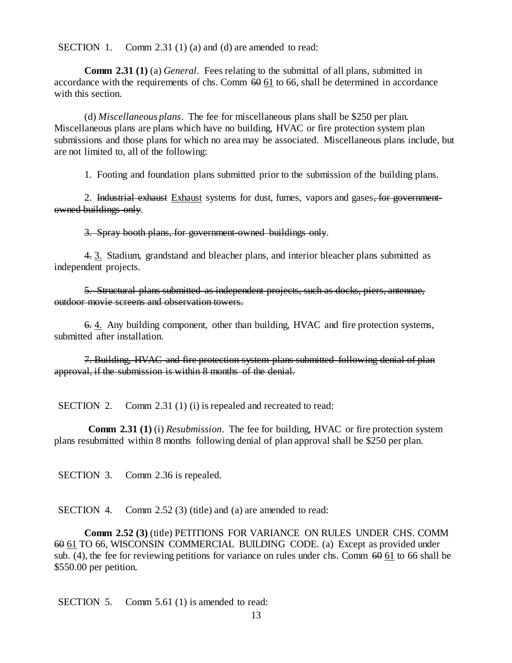SECTION 1. Comm 2.31 (1) (a) and (d) are amended to read:

**Comm 2.31 (1)** (a) *General*. Fees relating to the submittal of all plans, submitted in accordance with the requirements of chs. Comm  $60\overline{61}$  to 66, shall be determined in accordance with this section.

(d) *Miscellaneous plans*. The fee for miscellaneous plans shall be \$250 per plan. Miscellaneous plans are plans which have no building, HVAC or fire protection system plan submissions and those plans for which no area may be associated. Miscellaneous plans include, but are not limited to, all of the following:

1. Footing and foundation plans submitted prior to the submission of the building plans.

2. Industrial exhaust Exhaust systems for dust, fumes, vapors and gases, for governmentowned buildings only.

3. Spray booth plans, for government-owned buildings only.

4. 3. Stadium, grandstand and bleacher plans, and interior bleacher plans submitted as independent projects.

5. Structural plans submitted as independent projects, such as docks, piers, antennae, outdoor movie screens and observation towers.

6. 4. Any building component, other than building, HVAC and fire protection systems, submitted after installation.

7. Building, HVAC and fire protection system plans submitted following denial of plan approval, if the submission is within 8 months of the denial.

SECTION 2. Comm 2.31 (1) (i) is repealed and recreated to read:

**Comm 2.31 (1)** (i) *Resubmission*. The fee for building, HVAC or fire protection system plans resubmitted within 8 months following denial of plan approval shall be \$250 per plan.

SECTION 3. Comm 2.36 is repealed.

SECTION 4. Comm 2.52 (3) (title) and (a) are amended to read:

**Comm 2.52 (3)** (title) PETITIONS FOR VARIANCE ON RULES UNDER CHS. COMM 60 61 TO 66, WISCONSIN COMMERCIAL BUILDING CODE. (a) Except as provided under sub. (4), the fee for reviewing petitions for variance on rules under chs. Comm  $60\,61$  to 66 shall be \$550.00 per petition.

SECTION 5. Comm 5.61 (1) is amended to read: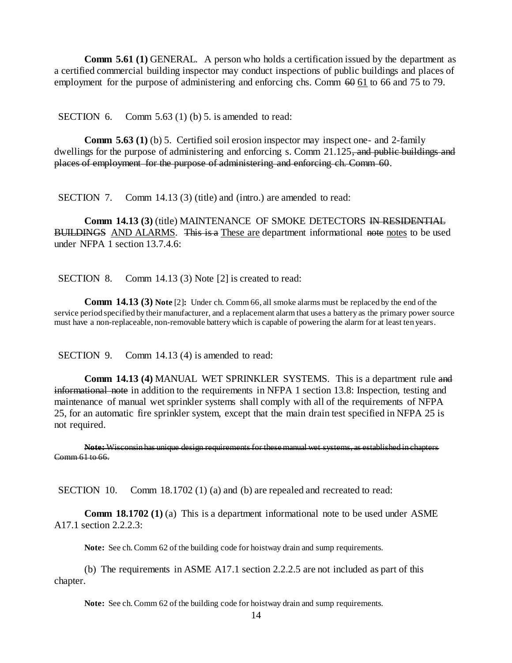**Comm 5.61 (1)** GENERAL. A person who holds a certification issued by the department as a certified commercial building inspector may conduct inspections of public buildings and places of employment for the purpose of administering and enforcing chs. Comm  $60 \times 61$  to 66 and 75 to 79.

SECTION 6. Comm 5.63 (1) (b) 5. is amended to read:

**Comm 5.63 (1)** (b) 5. Certified soil erosion inspector may inspect one- and 2-family dwellings for the purpose of administering and enforcing s. Comm 21.125, and public buildings and places of employment for the purpose of administering and enforcing ch. Comm 60.

SECTION 7. Comm 14.13 (3) (title) and (intro.) are amended to read:

**Comm 14.13 (3) (title) MAINTENANCE OF SMOKE DETECTORS IN RESIDENTIAL** BUILDINGS AND ALARMS. This is a These are department informational note notes to be used under NFPA 1 section 13.7.4.6:

SECTION 8. Comm 14.13 (3) Note [2] is created to read:

**Comm 14.13 (3) Note** [2]**:** Under ch. Comm 66, all smoke alarms must be replaced by the end of the service period specified by their manufacturer, and a replacement alarm that uses a battery as the primary power source must have a non-replaceable, non-removable battery which is capable of powering the alarm for at least ten years.

SECTION 9. Comm 14.13 (4) is amended to read:

**Comm 14.13 (4)** MANUAL WET SPRINKLER SYSTEMS. This is a department rule and informational note in addition to the requirements in NFPA 1 section 13.8: Inspection, testing and maintenance of manual wet sprinkler systems shall comply with all of the requirements of NFPA 25, for an automatic fire sprinkler system, except that the main drain test specified in NFPA 25 is not required.

**Note:** Wisconsin has unique design requirements for these manual wet systems, as established in chapters Comm 61 to 66.

SECTION 10. Comm 18.1702 (1) (a) and (b) are repealed and recreated to read:

**Comm 18.1702 (1)** (a) This is a department informational note to be used under ASME A17.1 section 2.2.2.3:

**Note:** See ch. Comm 62 of the building code for hoistway drain and sump requirements.

(b) The requirements in ASME A17.1 section 2.2.2.5 are not included as part of this chapter.

**Note:** See ch. Comm 62 of the building code for hoistway drain and sump requirements.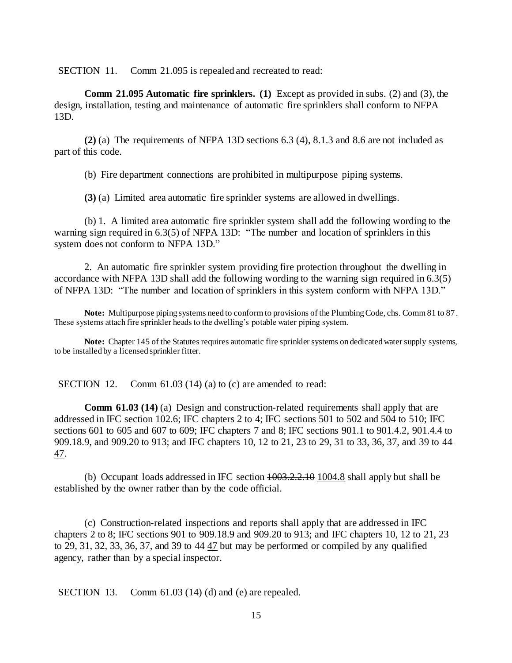SECTION 11. Comm 21.095 is repealed and recreated to read:

**Comm 21.095 Automatic fire sprinklers. (1)** Except as provided in subs. (2) and (3), the design, installation, testing and maintenance of automatic fire sprinklers shall conform to NFPA 13D.

**(2)** (a) The requirements of NFPA 13D sections 6.3 (4), 8.1.3 and 8.6 are not included as part of this code.

(b) Fire department connections are prohibited in multipurpose piping systems.

**(3)** (a) Limited area automatic fire sprinkler systems are allowed in dwellings.

(b) 1. A limited area automatic fire sprinkler system shall add the following wording to the warning sign required in 6.3(5) of NFPA 13D: "The number and location of sprinklers in this system does not conform to NFPA 13D."

2. An automatic fire sprinkler system providing fire protection throughout the dwelling in accordance with NFPA 13D shall add the following wording to the warning sign required in 6.3(5) of NFPA 13D: "The number and location of sprinklers in this system conform with NFPA 13D."

**Note:** Multipurpose piping systems need to conform to provisions of the Plumbing Code, chs. Comm 81 to 87. These systems attach fire sprinkler heads to the dwelling's potable water piping system.

**Note:** Chapter 145 of the Statutes requires automatic fire sprinkler systems on dedicated water supply systems, to be installed by a licensed sprinkler fitter.

SECTION 12. Comm 61.03 (14) (a) to (c) are amended to read:

**Comm 61.03 (14)** (a) Design and construction-related requirements shall apply that are addressed in IFC section 102.6; IFC chapters 2 to 4; IFC sections 501 to 502 and 504 to 510; IFC sections 601 to 605 and 607 to 609; IFC chapters 7 and 8; IFC sections 901.1 to 901.4.2, 901.4.4 to 909.18.9, and 909.20 to 913; and IFC chapters 10, 12 to 21, 23 to 29, 31 to 33, 36, 37, and 39 to 44 47.

(b) Occupant loads addressed in IFC section 1003.2.2.10 1004.8 shall apply but shall be established by the owner rather than by the code official.

(c) Construction-related inspections and reports shall apply that are addressed in IFC chapters 2 to 8; IFC sections 901 to 909.18.9 and 909.20 to 913; and IFC chapters 10, 12 to 21, 23 to 29, 31, 32, 33, 36, 37, and 39 to 44 47 but may be performed or compiled by any qualified agency, rather than by a special inspector.

SECTION 13. Comm 61.03 (14) (d) and (e) are repealed.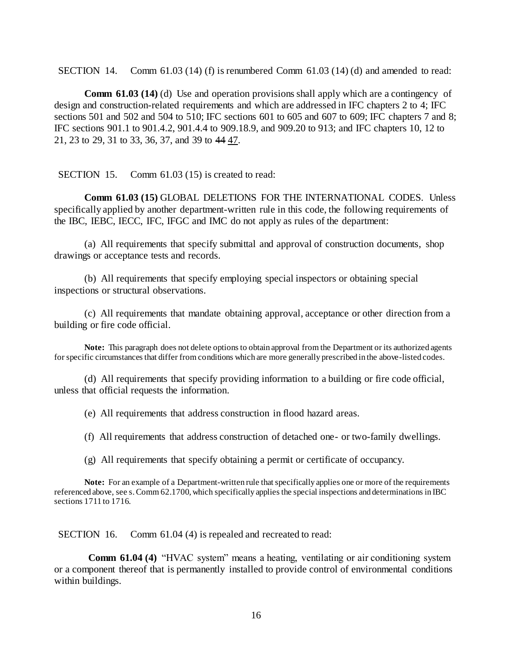SECTION 14. Comm  $61.03$  (14) (f) is renumbered Comm  $61.03$  (14) (d) and amended to read:

**Comm 61.03 (14)** (d) Use and operation provisions shall apply which are a contingency of design and construction-related requirements and which are addressed in IFC chapters 2 to 4; IFC sections 501 and 502 and 504 to 510; IFC sections 601 to 605 and 607 to 609; IFC chapters 7 and 8; IFC sections 901.1 to 901.4.2, 901.4.4 to 909.18.9, and 909.20 to 913; and IFC chapters 10, 12 to 21, 23 to 29, 31 to 33, 36, 37, and 39 to 44 47.

SECTION 15. Comm 61.03 (15) is created to read:

**Comm 61.03 (15)** GLOBAL DELETIONS FOR THE INTERNATIONAL CODES. Unless specifically applied by another department-written rule in this code, the following requirements of the IBC, IEBC, IECC, IFC, IFGC and IMC do not apply as rules of the department:

(a) All requirements that specify submittal and approval of construction documents, shop drawings or acceptance tests and records.

(b) All requirements that specify employing special inspectors or obtaining special inspections or structural observations.

(c) All requirements that mandate obtaining approval, acceptance or other direction from a building or fire code official.

**Note:** This paragraph does not delete options to obtain approval from the Department or its authorized agents for specific circumstances that differ from conditions which are more generally prescribed in the above-listed codes.

(d) All requirements that specify providing information to a building or fire code official, unless that official requests the information.

(e) All requirements that address construction in flood hazard areas.

(f) All requirements that address construction of detached one- or two-family dwellings.

(g) All requirements that specify obtaining a permit or certificate of occupancy.

**Note:** For an example of a Department-written rule that specifically applies one or more of the requirements referenced above, see s.Comm 62.1700, which specifically applies the special inspections and determinations in IBC sections 1711 to 1716.

SECTION 16. Comm 61.04 (4) is repealed and recreated to read:

**Comm 61.04 (4)** "HVAC system" means a heating, ventilating or air conditioning system or a component thereof that is permanently installed to provide control of environmental conditions within buildings.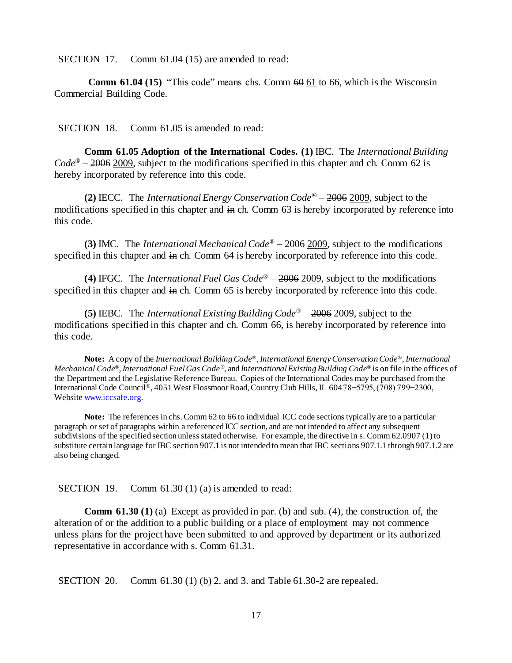SECTION 17. Comm 61.04 (15) are amended to read:

**Comm 61.04 (15)** "This code" means chs. Comm  $60 \underline{61}$  to 66, which is the Wisconsin Commercial Building Code.

SECTION 18. Comm 61.05 is amended to read:

**Comm 61.05 Adoption of the International Codes. (1)** IBC. The *International Building Code*® – 2006 2009, subject to the modifications specified in this chapter and ch. Comm 62 is hereby incorporated by reference into this code.

**(2)** IECC. The *International Energy Conservation Code*® – 2006 2009, subject to the modifications specified in this chapter and in ch. Comm 63 is hereby incorporated by reference into this code.

**(3)** IMC. The *International Mechanical Code*® – 2006 2009, subject to the modifications specified in this chapter and in ch. Comm 64 is hereby incorporated by reference into this code.

**(4)** IFGC. The *International Fuel Gas Code*® – 2006 2009, subject to the modifications specified in this chapter and in ch. Comm 65 is hereby incorporated by reference into this code.

**(5)** IEBC. The *International Existing Building Code*® – 2006 2009, subject to the modifications specified in this chapter and ch. Comm 66, is hereby incorporated by reference into this code.

**Note:** A copy of the *International Building Code®*, *International Energy Conservation Code®*, *International Mechanical Code®*, *International Fuel Gas Code®*, and *International Existing Building Code®* is on file in the offices of the Department and the Legislative Reference Bureau. Copies of the International Codes may be purchased from the International Code Council*®*, 4051 West Flossmoor Road, Country Club Hills, IL 60478−5795, (708) 799−2300, Websit[e www.iccsafe.org.](http://www.iccsafe.org/)

Note: The references in chs. Comm 62 to 66 to individual ICC code sections typically are to a particular paragraph or set of paragraphs within a referenced ICC section, and are not intended to affect any subsequent subdivisions of the specified section unless stated otherwise. For example, the directive in s. Comm 62.0907 (1)to substitute certain language for IBC section 907.1 is not intended to mean that IBC sections 907.1.1 through 907.1.2 are also being changed.

SECTION 19. Comm 61.30 (1) (a) is amended to read:

**Comm 61.30 (1)** (a) Except as provided in par. (b) and sub. (4), the construction of, the alteration of or the addition to a public building or a place of employment may not commence unless plans for the project have been submitted to and approved by department or its authorized representative in accordance with s. Comm 61.31.

SECTION 20. Comm 61.30 (1) (b) 2. and 3. and Table 61.30-2 are repealed.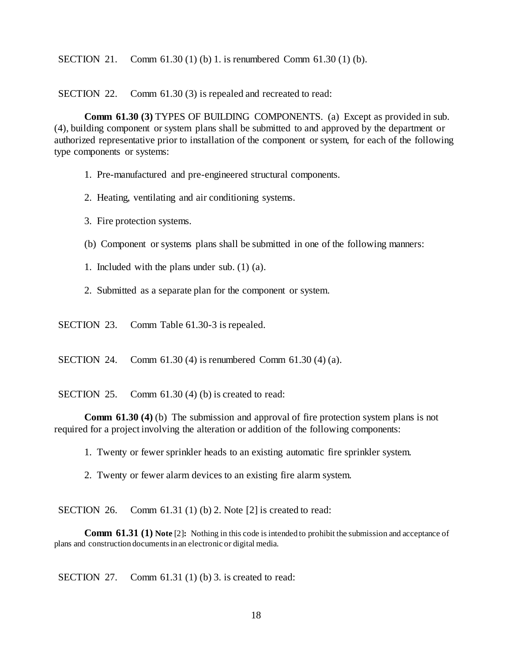SECTION 21. Comm 61.30 (1) (b) 1. is renumbered Comm 61.30 (1) (b).

SECTION 22. Comm 61.30 (3) is repealed and recreated to read:

**Comm 61.30 (3) TYPES OF BUILDING COMPONENTS.** (a) Except as provided in sub. (4), building component or system plans shall be submitted to and approved by the department or authorized representative prior to installation of the component or system, for each of the following type components or systems:

- 1. Pre-manufactured and pre-engineered structural components.
- 2. Heating, ventilating and air conditioning systems.
- 3. Fire protection systems.
- (b) Component or systems plans shall be submitted in one of the following manners:
- 1. Included with the plans under sub. (1) (a).
- 2. Submitted as a separate plan for the component or system.
- SECTION 23. Comm Table 61.30-3 is repealed.

SECTION 24. Comm 61.30 (4) is renumbered Comm 61.30 (4) (a).

SECTION 25. Comm 61.30 (4) (b) is created to read:

**Comm 61.30 (4)** (b) The submission and approval of fire protection system plans is not required for a project involving the alteration or addition of the following components:

- 1. Twenty or fewer sprinkler heads to an existing automatic fire sprinkler system.
- 2. Twenty or fewer alarm devices to an existing fire alarm system.

SECTION 26. Comm 61.31 (1) (b) 2. Note [2] is created to read:

**Comm 61.31 (1) Note** [2]**:** Nothing in this code is intended to prohibit the submission and acceptance of plans and construction documents in an electronic or digital media.

SECTION 27. Comm 61.31 (1) (b) 3. is created to read: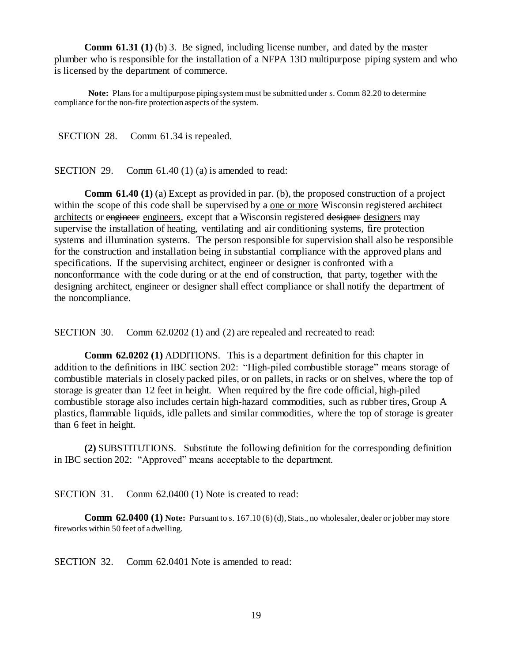**Comm 61.31 (1)** (b) 3. Be signed, including license number, and dated by the master plumber who is responsible for the installation of a NFPA 13D multipurpose piping system and who is licensed by the department of commerce.

**Note:** Plans for a multipurpose piping system must be submitted under s. Comm 82.20 to determine compliance for the non-fire protection aspects of the system.

SECTION 28. Comm 61.34 is repealed.

SECTION 29. Comm  $61.40(1)(a)$  is amended to read:

**Comm 61.40 (1)** (a) Except as provided in par. (b), the proposed construction of a project within the scope of this code shall be supervised by  $a$  one or more Wisconsin registered architect architects or engineer engineers, except that a Wisconsin registered designer designers may supervise the installation of heating, ventilating and air conditioning systems, fire protection systems and illumination systems. The person responsible for supervision shall also be responsible for the construction and installation being in substantial compliance with the approved plans and specifications. If the supervising architect, engineer or designer is confronted with a nonconformance with the code during or at the end of construction, that party, together with the designing architect, engineer or designer shall effect compliance or shall notify the department of the noncompliance.

SECTION 30. Comm 62.0202 (1) and (2) are repealed and recreated to read:

**Comm 62.0202 (1)** ADDITIONS. This is a department definition for this chapter in addition to the definitions in IBC section 202: "High-piled combustible storage" means storage of combustible materials in closely packed piles, or on pallets, in racks or on shelves, where the top of storage is greater than 12 feet in height. When required by the fire code official, high-piled combustible storage also includes certain high-hazard commodities, such as rubber tires, Group A plastics, flammable liquids, idle pallets and similar commodities, where the top of storage is greater than 6 feet in height.

**(2)** SUBSTITUTIONS. Substitute the following definition for the corresponding definition in IBC section 202: "Approved" means acceptable to the department.

SECTION 31. Comm 62.0400 (1) Note is created to read:

**Comm 62.0400 (1) Note:** Pursuant to s. 167.10 (6) (d), Stats., no wholesaler, dealer or jobber may store fireworks within 50 feet of a dwelling.

SECTION 32. Comm 62.0401 Note is amended to read: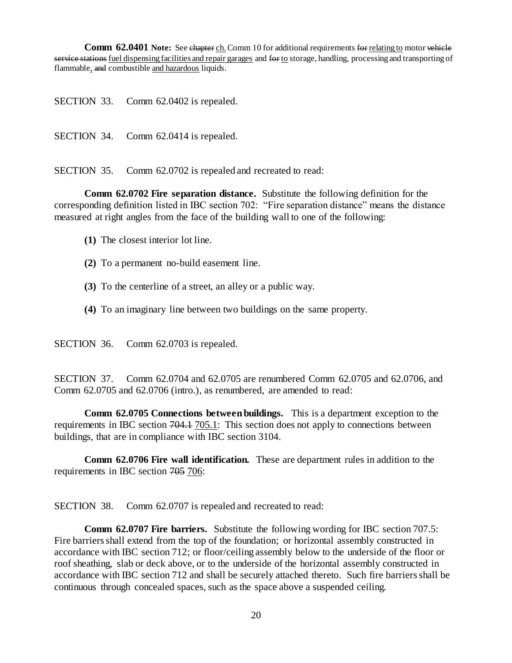**Comm 62.0401 Note:** See chapter ch. Comm 10 for additional requirements for relating to motor vehicle service stations fuel dispensing facilities and repair garages and for to storage, handling, processing and transporting of flammable, and combustible and hazardous liquids.

SECTION 33. Comm 62.0402 is repealed.

SECTION 34. Comm 62.0414 is repealed.

SECTION 35. Comm 62.0702 is repealed and recreated to read:

**Comm 62.0702 Fire separation distance.** Substitute the following definition for the corresponding definition listed in IBC section 702: "Fire separation distance" means the distance measured at right angles from the face of the building wall to one of the following:

- **(1)** The closest interior lot line.
- **(2)** To a permanent no-build easement line.
- **(3)** To the centerline of a street, an alley or a public way.
- **(4)** To an imaginary line between two buildings on the same property.

SECTION 36. Comm 62.0703 is repealed.

SECTION 37. Comm 62.0704 and 62.0705 are renumbered Comm 62.0705 and 62.0706, and Comm 62.0705 and 62.0706 (intro.), as renumbered, are amended to read:

**Comm 62.0705 Connections between buildings.** This is a department exception to the requirements in IBC section 704.1 705.1: This section does not apply to connections between buildings, that are in compliance with IBC section 3104.

**Comm 62.0706 Fire wall identification.** These are department rules in addition to the requirements in IBC section 705 706:

SECTION 38. Comm 62.0707 is repealed and recreated to read:

**Comm 62.0707 Fire barriers.** Substitute the following wording for IBC section 707.5: Fire barriers shall extend from the top of the foundation; or horizontal assembly constructed in accordance with IBC section 712; or floor/ceiling assembly below to the underside of the floor or roof sheathing, slab or deck above, or to the underside of the horizontal assembly constructed in accordance with IBC section 712 and shall be securely attached thereto. Such fire barriers shall be continuous through concealed spaces, such as the space above a suspended ceiling.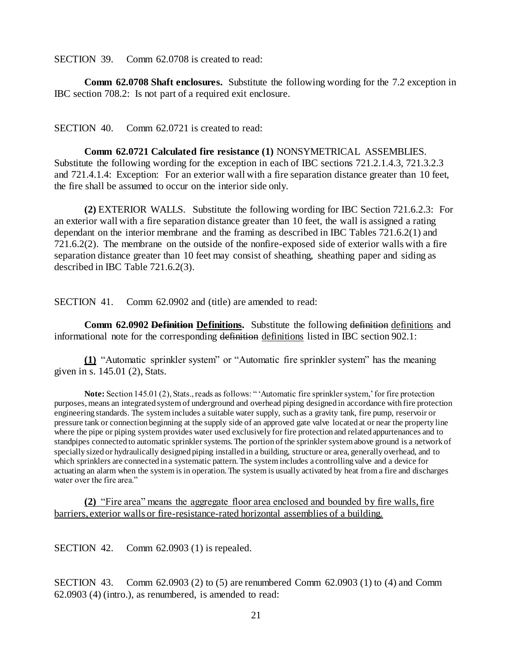SECTION 39. Comm 62.0708 is created to read:

**Comm 62.0708 Shaft enclosures.** Substitute the following wording for the 7.2 exception in IBC section 708.2: Is not part of a required exit enclosure.

SECTION 40. Comm 62.0721 is created to read:

**Comm 62.0721 Calculated fire resistance (1)** NONSYMETRICAL ASSEMBLIES. Substitute the following wording for the exception in each of IBC sections 721.2.1.4.3, 721.3.2.3 and 721.4.1.4: Exception: For an exterior wall with a fire separation distance greater than 10 feet, the fire shall be assumed to occur on the interior side only.

**(2)** EXTERIOR WALLS. Substitute the following wording for IBC Section 721.6.2.3: For an exterior wall with a fire separation distance greater than 10 feet, the wall is assigned a rating dependant on the interior membrane and the framing as described in IBC Tables 721.6.2(1) and 721.6.2(2). The membrane on the outside of the nonfire-exposed side of exterior walls with a fire separation distance greater than 10 feet may consist of sheathing, sheathing paper and siding as described in IBC Table 721.6.2(3).

SECTION 41. Comm 62.0902 and (title) are amended to read:

**Comm 62.0902 Definition Definitions.** Substitute the following definition definitions and informational note for the corresponding definition definitions listed in IBC section 902.1:

**(1)** "Automatic sprinkler system" or "Automatic fire sprinkler system" has the meaning given in s. 145.01 (2), Stats.

**Note:** Section 145.01 (2), Stats., reads as follows: " 'Automatic fire sprinkler system,' for fire protection purposes, means an integrated system of underground and overhead piping designed in accordance with fire protection engineering standards. The system includes a suitable water supply, such as a gravity tank, fire pump, reservoir or pressure tank or connection beginning at the supply side of an approved gate valve located at or near the property line where the pipe or piping system provides water used exclusively for fire protection and related appurtenances and to standpipes connected to automatic sprinkler systems. The portion of the sprinkler system above ground is a network of specially sized or hydraulically designed piping installed in a building, structure or area, generally overhead, and to which sprinklers are connected in a systematic pattern. The system includes a controlling valve and a device for actuating an alarm when the system is in operation. The system is usually activated by heat from a fire and discharges water over the fire area."

**(2)** "Fire area" means the aggregate floor area enclosed and bounded by fire walls, fire barriers, exterior walls or fire-resistance-rated horizontal assemblies of a building.

SECTION 42. Comm 62.0903 (1) is repealed.

SECTION 43. Comm 62.0903 (2) to (5) are renumbered Comm 62.0903 (1) to (4) and Comm 62.0903 (4) (intro.), as renumbered, is amended to read: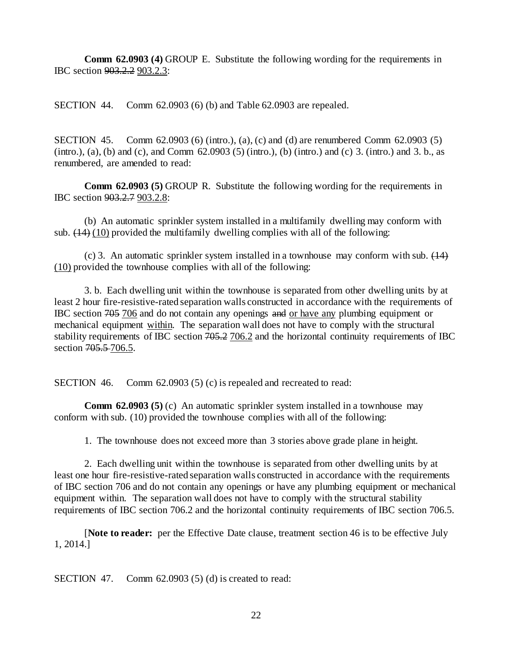**Comm 62.0903 (4)** GROUP E. Substitute the following wording for the requirements in IBC section 903.2.2 903.2.3:

SECTION 44. Comm 62.0903 (6) (b) and Table 62.0903 are repealed.

SECTION 45. Comm 62.0903 (6) (intro.), (a), (c) and (d) are renumbered Comm 62.0903 (5) (intro.), (a), (b) and (c), and Comm  $62.0903$  (5) (intro.), (b) (intro.) and (c) 3. (intro.) and 3. b., as renumbered, are amended to read:

**Comm 62.0903 (5)** GROUP R. Substitute the following wording for the requirements in IBC section 903.2.7 903.2.8:

(b) An automatic sprinkler system installed in a multifamily dwelling may conform with sub.  $(14)$  (10) provided the multifamily dwelling complies with all of the following:

(c) 3. An automatic sprinkler system installed in a townhouse may conform with sub.  $(14)$ (10) provided the townhouse complies with all of the following:

3. b. Each dwelling unit within the townhouse is separated from other dwelling units by at least 2 hour fire-resistive-rated separation walls constructed in accordance with the requirements of IBC section 705 706 and do not contain any openings and or have any plumbing equipment or mechanical equipment within. The separation wall does not have to comply with the structural stability requirements of IBC section 705.2 706.2 and the horizontal continuity requirements of IBC section 705.5-706.5.

SECTION 46. Comm 62.0903 (5) (c) is repealed and recreated to read:

**Comm 62.0903 (5)** (c) An automatic sprinkler system installed in a townhouse may conform with sub. (10) provided the townhouse complies with all of the following:

1. The townhouse does not exceed more than 3 stories above grade plane in height.

2. Each dwelling unit within the townhouse is separated from other dwelling units by at least one hour fire-resistive-rated separation walls constructed in accordance with the requirements of IBC section 706 and do not contain any openings or have any plumbing equipment or mechanical equipment within. The separation wall does not have to comply with the structural stability requirements of IBC section 706.2 and the horizontal continuity requirements of IBC section 706.5.

[**Note to reader:** per the Effective Date clause, treatment section 46 is to be effective July 1, 2014.]

SECTION 47. Comm 62.0903 (5) (d) is created to read: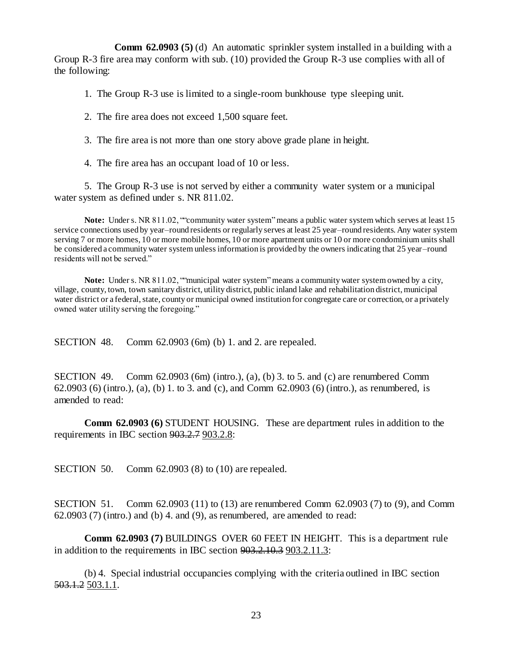**Comm 62.0903 (5)** (d) An automatic sprinkler system installed in a building with a Group R-3 fire area may conform with sub. (10) provided the Group R-3 use complies with all of the following:

1. The Group R-3 use is limited to a single-room bunkhouse type sleeping unit.

2. The fire area does not exceed 1,500 square feet.

3. The fire area is not more than one story above grade plane in height.

4. The fire area has an occupant load of 10 or less.

5. The Group R-3 use is not served by either a community water system or a municipal water system as defined under s. NR 811.02.

**Note:** Under s. NR 811.02, ""community water system"means a public water system which serves at least 15 service connections used by year–round residents or regularly serves at least 25 year–round residents. Any water system serving 7 or more homes, 10 or more mobile homes, 10 or more apartment units or 10 or more condominium units shall be considered a community water system unless information is provided by the owners indicating that 25 year–round residents will not be served."

**Note:** Under s. NR 811.02, ""municipal water system"means a community water system owned by a city, village, county, town, town sanitary district, utility district, public inland lake and rehabilitation district, municipal water district or a federal, state, county or municipal owned institution for congregate care or correction, or a privately owned water utility serving the foregoing."

SECTION 48. Comm 62.0903 (6m) (b) 1. and 2. are repealed.

SECTION 49. Comm  $62.0903$  (6m) (intro.), (a), (b) 3. to 5. and (c) are renumbered Comm 62.0903 (6) (intro.), (a), (b) 1. to 3. and (c), and Comm 62.0903 (6) (intro.), as renumbered, is amended to read:

**Comm 62.0903 (6)** STUDENT HOUSING. These are department rules in addition to the requirements in IBC section 903.2.7 903.2.8:

SECTION 50. Comm 62.0903 (8) to (10) are repealed.

SECTION 51. Comm 62.0903 (11) to (13) are renumbered Comm 62.0903 (7) to (9), and Comm  $62.0903$  (7) (intro.) and (b) 4. and (9), as renumbered, are amended to read:

**Comm 62.0903 (7)** BUILDINGS OVER 60 FEET IN HEIGHT. This is a department rule in addition to the requirements in IBC section 903.2.10.3 903.2.11.3:

(b) 4. Special industrial occupancies complying with the criteria outlined in IBC section 503.1.2 503.1.1.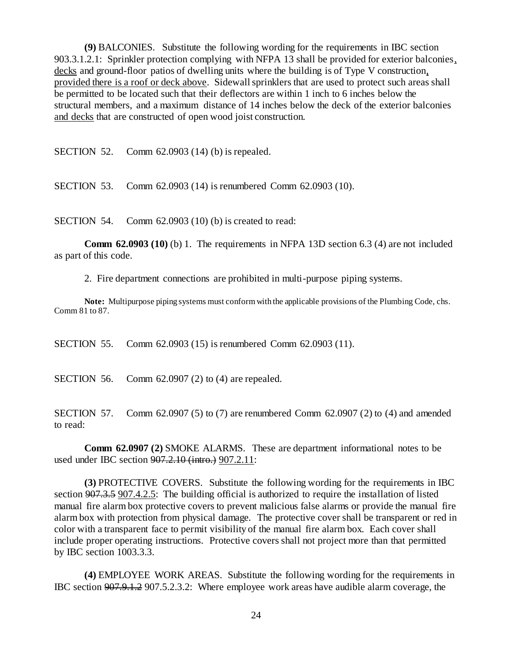**(9)** BALCONIES. Substitute the following wording for the requirements in IBC section 903.3.1.2.1: Sprinkler protection complying with NFPA 13 shall be provided for exterior balconies, decks and ground-floor patios of dwelling units where the building is of Type V construction, provided there is a roof or deck above. Sidewall sprinklers that are used to protect such areas shall be permitted to be located such that their deflectors are within 1 inch to 6 inches below the structural members, and a maximum distance of 14 inches below the deck of the exterior balconies and decks that are constructed of open wood joist construction.

SECTION 52. Comm 62.0903 (14) (b) is repealed.

SECTION 53. Comm 62.0903 (14) is renumbered Comm 62.0903 (10).

SECTION 54. Comm 62.0903 (10) (b) is created to read:

**Comm 62.0903 (10)** (b) 1. The requirements in NFPA 13D section 6.3 (4) are not included as part of this code.

2. Fire department connections are prohibited in multi-purpose piping systems.

**Note:** Multipurpose piping systems must conform with the applicable provisions of the Plumbing Code, chs. Comm 81 to 87.

SECTION 55. Comm 62.0903 (15) is renumbered Comm 62.0903 (11).

SECTION 56. Comm 62.0907 (2) to (4) are repealed.

SECTION 57. Comm 62.0907 (5) to (7) are renumbered Comm 62.0907 (2) to (4) and amended to read:

**Comm 62.0907 (2)** SMOKE ALARMS. These are department informational notes to be used under IBC section 907.2.10 (intro.) 907.2.11:

**(3)** PROTECTIVE COVERS. Substitute the following wording for the requirements in IBC section 907.3.5 907.4.2.5: The building official is authorized to require the installation of listed manual fire alarm box protective covers to prevent malicious false alarms or provide the manual fire alarm box with protection from physical damage. The protective cover shall be transparent or red in color with a transparent face to permit visibility of the manual fire alarm box. Each cover shall include proper operating instructions. Protective covers shall not project more than that permitted by IBC section 1003.3.3.

**(4)** EMPLOYEE WORK AREAS. Substitute the following wording for the requirements in IBC section 907.9.1.2 907.5.2.3.2: Where employee work areas have audible alarm coverage, the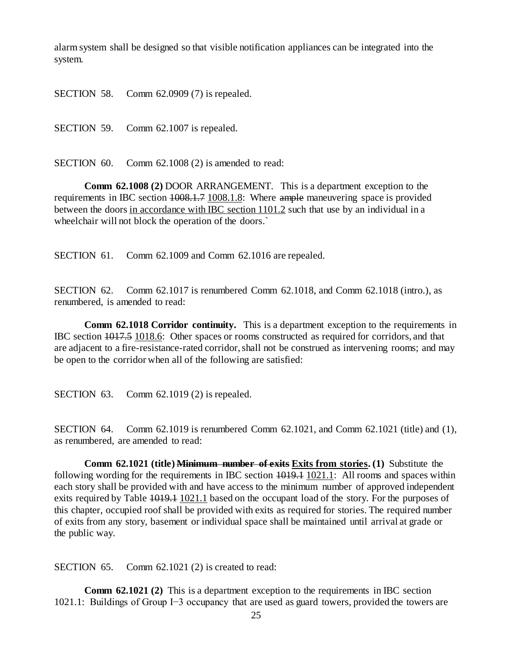alarm system shall be designed so that visible notification appliances can be integrated into the system.

SECTION 58. Comm 62.0909 (7) is repealed.

SECTION 59. Comm 62.1007 is repealed.

SECTION 60. Comm 62.1008 (2) is amended to read:

**Comm 62.1008 (2)** DOOR ARRANGEMENT. This is a department exception to the requirements in IBC section  $1008.1.7 \underline{1008.1.8}$ : Where ample maneuvering space is provided between the doors in accordance with IBC section 1101.2 such that use by an individual in a wheelchair will not block the operation of the doors.`

SECTION 61. Comm 62.1009 and Comm 62.1016 are repealed.

SECTION 62. Comm 62.1017 is renumbered Comm 62.1018, and Comm 62.1018 (intro.), as renumbered, is amended to read:

**Comm 62.1018 Corridor continuity.** This is a department exception to the requirements in IBC section 1017.5 1018.6: Other spaces or rooms constructed as required for corridors, and that are adjacent to a fire-resistance-rated corridor, shall not be construed as intervening rooms; and may be open to the corridor when all of the following are satisfied:

SECTION 63. Comm 62.1019 (2) is repealed.

SECTION 64. Comm 62.1019 is renumbered Comm 62.1021, and Comm 62.1021 (title) and (1), as renumbered, are amended to read:

**Comm 62.1021 (title) Minimum number of exits Exits from stories. (1)** Substitute the following wording for the requirements in IBC section  $\overline{1019.1}$  1021.1: All rooms and spaces within each story shall be provided with and have access to the minimum number of approved independent exits required by Table 1019.1 1021.1 based on the occupant load of the story. For the purposes of this chapter, occupied roof shall be provided with exits as required for stories. The required number of exits from any story, basement or individual space shall be maintained until arrival at grade or the public way.

SECTION 65. Comm 62.1021 (2) is created to read:

**Comm 62.1021 (2)** This is a department exception to the requirements in IBC section 1021.1: Buildings of Group I−3 occupancy that are used as guard towers, provided the towers are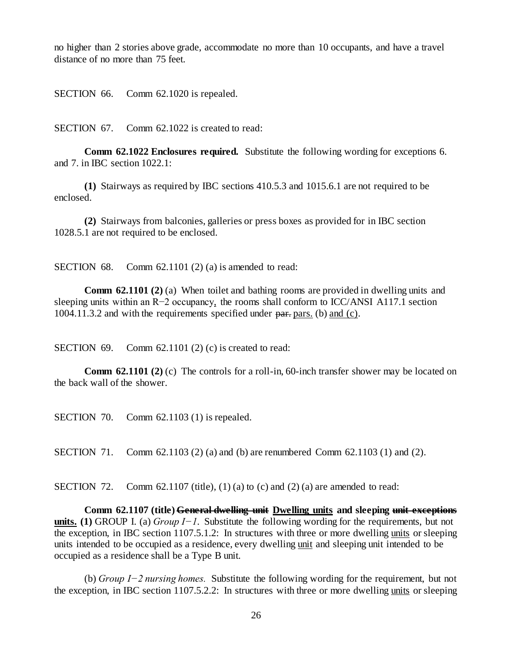no higher than 2 stories above grade, accommodate no more than 10 occupants, and have a travel distance of no more than 75 feet.

SECTION 66. Comm 62.1020 is repealed.

SECTION 67. Comm 62.1022 is created to read:

**Comm 62.1022 Enclosures required.** Substitute the following wording for exceptions 6. and 7. in IBC section 1022.1:

**(1)** Stairways as required by IBC sections 410.5.3 and 1015.6.1 are not required to be enclosed.

**(2)** Stairways from balconies, galleries or press boxes as provided for in IBC section 1028.5.1 are not required to be enclosed.

SECTION 68. Comm 62.1101 (2) (a) is amended to read:

**Comm 62.1101 (2) (a)** When toilet and bathing rooms are provided in dwelling units and sleeping units within an R−2 occupancy, the rooms shall conform to ICC/ANSI A117.1 section 1004.11.3.2 and with the requirements specified under part pars. (b) and (c).

SECTION 69. Comm 62.1101 (2) (c) is created to read:

**Comm 62.1101 (2) (c)** The controls for a roll-in, 60-inch transfer shower may be located on the back wall of the shower.

SECTION 70. Comm 62.1103 (1) is repealed.

SECTION 71. Comm 62.1103 (2) (a) and (b) are renumbered Comm 62.1103 (1) and (2).

SECTION 72. Comm 62.1107 (title), (1) (a) to (c) and (2) (a) are amended to read:

**Comm 62.1107 (title) General dwelling unit Dwelling units and sleeping unit exceptions units. (1)** GROUP I. (a) *Group I−1.* Substitute the following wording for the requirements, but not the exception, in IBC section 1107.5.1.2: In structures with three or more dwelling units or sleeping units intended to be occupied as a residence, every dwelling unit and sleeping unit intended to be occupied as a residence shall be a Type B unit.

(b) *Group I−2 nursing homes.* Substitute the following wording for the requirement, but not the exception, in IBC section 1107.5.2.2: In structures with three or more dwelling units or sleeping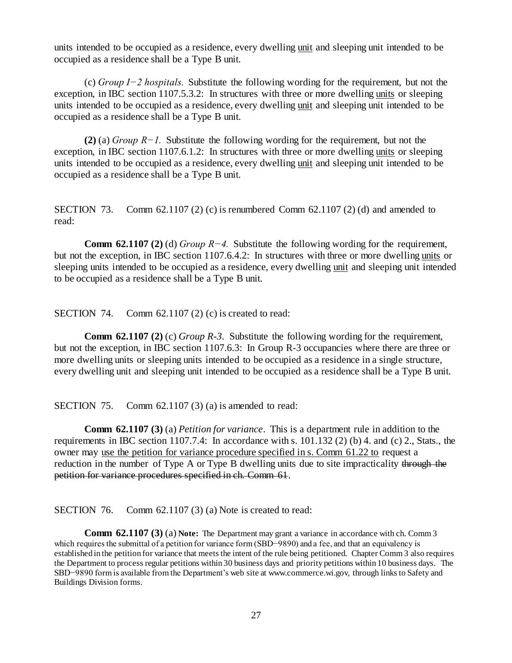units intended to be occupied as a residence, every dwelling unit and sleeping unit intended to be occupied as a residence shall be a Type B unit.

(c) *Group I−2 hospitals.* Substitute the following wording for the requirement, but not the exception, in IBC section 1107.5.3.2: In structures with three or more dwelling units or sleeping units intended to be occupied as a residence, every dwelling unit and sleeping unit intended to be occupied as a residence shall be a Type B unit.

**(2)** (a) *Group R−1.* Substitute the following wording for the requirement, but not the exception, in IBC section 1107.6.1.2: In structures with three or more dwelling units or sleeping units intended to be occupied as a residence, every dwelling unit and sleeping unit intended to be occupied as a residence shall be a Type B unit.

SECTION 73. Comm 62.1107 (2) (c) is renumbered Comm 62.1107 (2) (d) and amended to read:

**Comm 62.1107 (2)** (d) *Group R−4.* Substitute the following wording for the requirement, but not the exception, in IBC section 1107.6.4.2: In structures with three or more dwelling units or sleeping units intended to be occupied as a residence, every dwelling unit and sleeping unit intended to be occupied as a residence shall be a Type B unit.

SECTION 74. Comm 62.1107 (2) (c) is created to read:

**Comm 62.1107 (2)** (c) *Group R-3*. Substitute the following wording for the requirement, but not the exception, in IBC section 1107.6.3: In Group R-3 occupancies where there are three or more dwelling units or sleeping units intended to be occupied as a residence in a single structure, every dwelling unit and sleeping unit intended to be occupied as a residence shall be a Type B unit.

SECTION 75. Comm 62.1107 (3) (a) is amended to read:

**Comm 62.1107 (3)** (a) *Petition for variance*. This is a department rule in addition to the requirements in IBC section 1107.7.4: In accordance with s. 101.132 (2) (b) 4. and (c) 2., Stats., the owner may use the petition for variance procedure specified in s. Comm 61.22 to request a reduction in the number of Type A or Type B dwelling units due to site impracticality through the petition for variance procedures specified in ch. Comm 61.

SECTION 76. Comm 62.1107 (3) (a) Note is created to read:

**Comm 62.1107 (3) (a) Note:** The Department may grant a variance in accordance with ch. Comm 3 which requires the submittal of a petition for variance form (SBD−9890) and a fee, and that an equivalency is established in the petition for variance that meets the intent of the rule being petitioned. Chapter Comm 3 also requires the Department to process regular petitions within 30 business days and priority petitions within 10 business days. The SBD−9890 form is available from the Department's web site at www.commerce.wi.gov, through links to Safety and Buildings Division forms.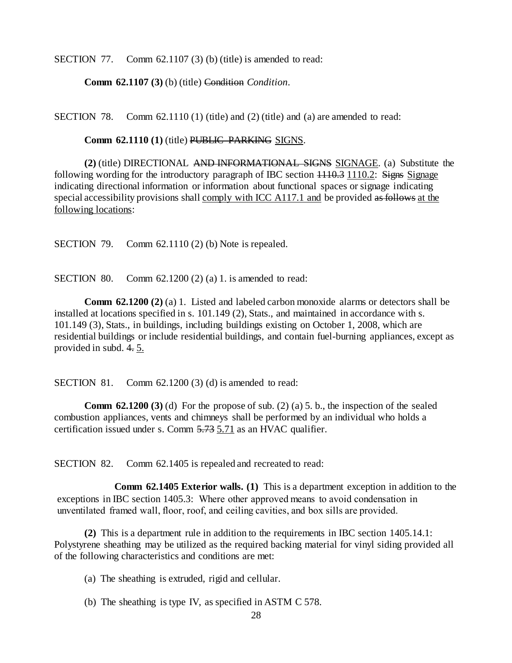SECTION 77. Comm 62.1107 (3) (b) (title) is amended to read:

**Comm 62.1107 (3)** (b) (title) Condition *Condition*.

SECTION 78. Comm  $62.1110(1)$  (title) and  $(2)$  (title) and (a) are amended to read:

**Comm 62.1110 (1) (title) PUBLIC PARKING SIGNS.** 

**(2)** (title) DIRECTIONAL AND INFORMATIONAL SIGNS SIGNAGE. (a) Substitute the following wording for the introductory paragraph of IBC section  $1110.3$  1110.2: Signs Signage indicating directional information or information about functional spaces or signage indicating special accessibility provisions shall comply with ICC A117.1 and be provided as follows at the following locations:

SECTION 79. Comm 62.1110 (2) (b) Note is repealed.

SECTION 80. Comm 62.1200 (2) (a) 1. is amended to read:

**Comm 62.1200 (2) (a) 1.** Listed and labeled carbon monoxide alarms or detectors shall be installed at locations specified in s. 101.149 (2), Stats., and maintained in accordance with s. 101.149 (3), Stats., in buildings, including buildings existing on October 1, 2008, which are residential buildings or include residential buildings, and contain fuel-burning appliances, except as provided in subd. 4. 5.

SECTION 81. Comm 62.1200 (3) (d) is amended to read:

**Comm 62.1200 (3)** (d) For the propose of sub. (2) (a) 5. b., the inspection of the sealed combustion appliances, vents and chimneys shall be performed by an individual who holds a certification issued under s. Comm 5.73 5.71 as an HVAC qualifier.

SECTION 82. Comm 62.1405 is repealed and recreated to read:

**Comm 62.1405 Exterior walls. (1)** This is a department exception in addition to the exceptions in IBC section 1405.3: Where other approved means to avoid condensation in unventilated framed wall, floor, roof, and ceiling cavities, and box sills are provided.

**(2)** This is a department rule in addition to the requirements in IBC section 1405.14.1: Polystyrene sheathing may be utilized as the required backing material for vinyl siding provided all of the following characteristics and conditions are met:

(a) The sheathing is extruded, rigid and cellular.

(b) The sheathing is type IV, as specified in ASTM C 578.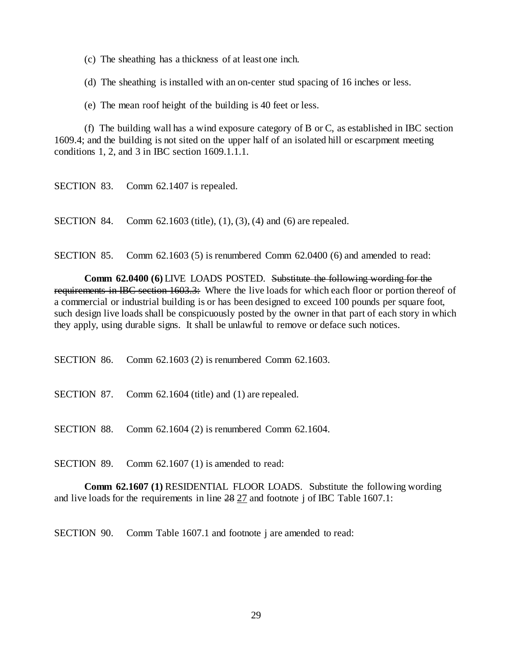(c) The sheathing has a thickness of at least one inch.

(d) The sheathing is installed with an on-center stud spacing of 16 inches or less.

(e) The mean roof height of the building is 40 feet or less.

(f) The building wall has a wind exposure category of B or C, as established in IBC section 1609.4; and the building is not sited on the upper half of an isolated hill or escarpment meeting conditions 1, 2, and 3 in IBC section 1609.1.1.1.

SECTION 84. Comm 62.1603 (title), (1), (3), (4) and (6) are repealed.

SECTION 85. Comm 62.1603 (5) is renumbered Comm 62.0400 (6) and amended to read:

**Comm 62.0400 (6)** LIVE LOADS POSTED. Substitute the following wording for the requirements in IBC section 1603.3: Where the live loads for which each floor or portion thereof of a commercial or industrial building is or has been designed to exceed 100 pounds per square foot, such design live loads shall be conspicuously posted by the owner in that part of each story in which they apply, using durable signs. It shall be unlawful to remove or deface such notices.

SECTION 86. Comm 62.1603 (2) is renumbered Comm 62.1603.

SECTION 87. Comm 62.1604 (title) and (1) are repealed.

SECTION 88. Comm 62.1604 (2) is renumbered Comm 62.1604.

SECTION 89. Comm 62.1607 (1) is amended to read:

**Comm 62.1607 (1)** RESIDENTIAL FLOOR LOADS. Substitute the following wording and live loads for the requirements in line 28 27 and footnote j of IBC Table 1607.1:

SECTION 90. Comm Table 1607.1 and footnote j are amended to read: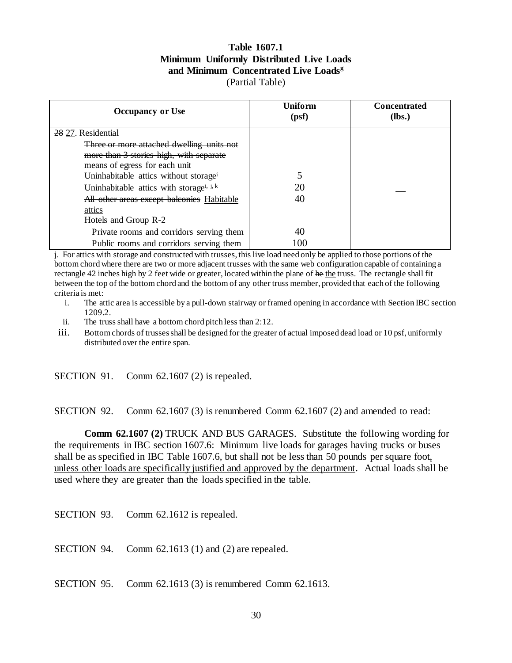### **Table 1607.1 Minimum Uniformly Distributed Live Loads and Minimum Concentrated Live Loads<sup>g</sup>** (Partial Table)

| <b>Occupancy or Use</b>                              | Uniform<br>(psf) | <b>Concentrated</b><br>$(lbs.)$ |
|------------------------------------------------------|------------------|---------------------------------|
| 28 27. Residential                                   |                  |                                 |
| Three or more attached dwelling units not            |                  |                                 |
| more than 3 stories high, with separate              |                  |                                 |
| means of egress for each unit                        |                  |                                 |
| Uninhabitable attics without storage <sup>i</sup>    |                  |                                 |
| Uninhabitable attics with storage <sup>i, j, k</sup> | 20               |                                 |
| All other areas except balconies Habitable           | 40               |                                 |
| attics                                               |                  |                                 |
| Hotels and Group R-2                                 |                  |                                 |
| Private rooms and corridors serving them             | 40               |                                 |
| Public rooms and corridors serving them              | 100              |                                 |

j. For attics with storage and constructed with trusses, this live load need only be applied to those portions of the bottom chord where there are two or more adjacent trusses with the same web configuration capable of containing a rectangle 42 inches high by 2 feet wide or greater, located within the plane of he the truss. The rectangle shall fit between the top of the bottom chord and the bottom of any other truss member, provided that each of the following criteria is met:

- i. The attic area is accessible by a pull-down stairway or framed opening in accordance with Section IBC section 1209.2.
- ii. The truss shall have a bottom chord pitch less than 2:12.
- iii. Bottom chords of trusses shall be designed for the greater of actual imposed dead load or 10 psf, uniformly distributed over the entire span.

SECTION 91. Comm 62.1607 (2) is repealed.

SECTION 92. Comm 62.1607 (3) is renumbered Comm 62.1607 (2) and amended to read:

**Comm 62.1607 (2)** TRUCK AND BUS GARAGES. Substitute the following wording for the requirements in IBC section 1607.6: Minimum live loads for garages having trucks or buses shall be as specified in IBC Table 1607.6, but shall not be less than 50 pounds per square foot, unless other loads are specifically justified and approved by the department. Actual loads shall be used where they are greater than the loads specified in the table.

SECTION 93. Comm 62.1612 is repealed.

SECTION 94. Comm 62.1613 (1) and (2) are repealed.

SECTION 95. Comm 62.1613 (3) is renumbered Comm 62.1613.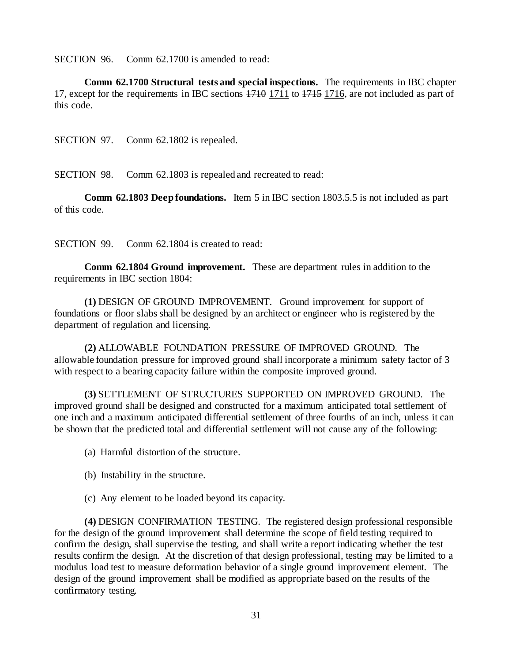SECTION 96. Comm 62.1700 is amended to read:

**Comm 62.1700 Structural tests and special inspections.** The requirements in IBC chapter 17, except for the requirements in IBC sections 1710 1711 to 1715 1716, are not included as part of this code.

SECTION 97. Comm 62.1802 is repealed.

SECTION 98. Comm 62.1803 is repealed and recreated to read:

**Comm 62.1803 Deep foundations.** Item 5 in IBC section 1803.5.5 is not included as part of this code.

SECTION 99. Comm 62.1804 is created to read:

**Comm 62.1804 Ground improvement.** These are department rules in addition to the requirements in IBC section 1804:

**(1)** DESIGN OF GROUND IMPROVEMENT. Ground improvement for support of foundations or floor slabs shall be designed by an architect or engineer who is registered by the department of regulation and licensing.

**(2)** ALLOWABLE FOUNDATION PRESSURE OF IMPROVED GROUND. The allowable foundation pressure for improved ground shall incorporate a minimum safety factor of 3 with respect to a bearing capacity failure within the composite improved ground.

**(3)** SETTLEMENT OF STRUCTURES SUPPORTED ON IMPROVED GROUND. The improved ground shall be designed and constructed for a maximum anticipated total settlement of one inch and a maximum anticipated differential settlement of three fourths of an inch, unless it can be shown that the predicted total and differential settlement will not cause any of the following:

(a) Harmful distortion of the structure.

- (b) Instability in the structure.
- (c) Any element to be loaded beyond its capacity.

**(4)** DESIGN CONFIRMATION TESTING. The registered design professional responsible for the design of the ground improvement shall determine the scope of field testing required to confirm the design, shall supervise the testing, and shall write a report indicating whether the test results confirm the design. At the discretion of that design professional, testing may be limited to a modulus load test to measure deformation behavior of a single ground improvement element. The design of the ground improvement shall be modified as appropriate based on the results of the confirmatory testing.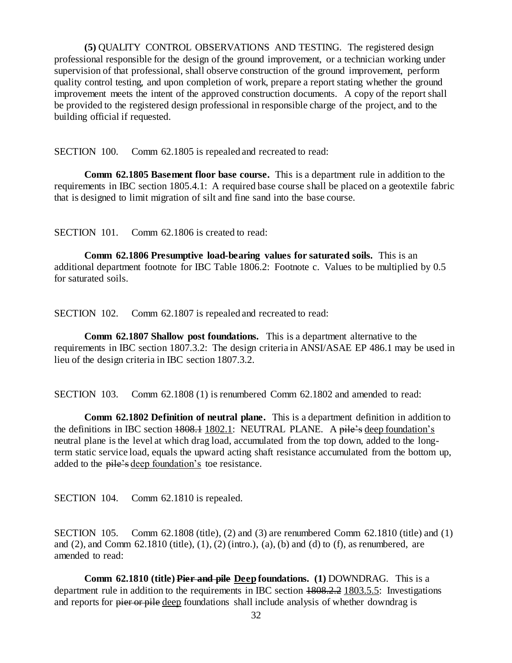**(5)** QUALITY CONTROL OBSERVATIONS AND TESTING. The registered design professional responsible for the design of the ground improvement, or a technician working under supervision of that professional, shall observe construction of the ground improvement, perform quality control testing, and upon completion of work, prepare a report stating whether the ground improvement meets the intent of the approved construction documents. A copy of the report shall be provided to the registered design professional in responsible charge of the project, and to the building official if requested.

SECTION 100. Comm 62.1805 is repealed and recreated to read:

**Comm 62.1805 Basement floor base course.** This is a department rule in addition to the requirements in IBC section 1805.4.1: A required base course shall be placed on a geotextile fabric that is designed to limit migration of silt and fine sand into the base course.

SECTION 101. Comm 62.1806 is created to read:

**Comm 62.1806 Presumptive load-bearing values for saturated soils.** This is an additional department footnote for IBC Table 1806.2: Footnote c. Values to be multiplied by 0.5 for saturated soils.

SECTION 102. Comm 62.1807 is repealed and recreated to read:

**Comm 62.1807 Shallow post foundations.** This is a department alternative to the requirements in IBC section 1807.3.2: The design criteria in ANSI/ASAE EP 486.1 may be used in lieu of the design criteria in IBC section 1807.3.2.

SECTION 103. Comm 62.1808 (1) is renumbered Comm 62.1802 and amended to read:

**Comm 62.1802 Definition of neutral plane.** This is a department definition in addition to the definitions in IBC section 1808.1 1802.1: NEUTRAL PLANE. A pile's deep foundation's neutral plane is the level at which drag load, accumulated from the top down, added to the longterm static service load, equals the upward acting shaft resistance accumulated from the bottom up, added to the pile's deep foundation's toe resistance.

SECTION 104. Comm 62.1810 is repealed.

SECTION 105. Comm 62.1808 (title), (2) and (3) are renumbered Comm 62.1810 (title) and (1) and  $(2)$ , and Comm  $62.1810$  (title),  $(1)$ ,  $(2)$  (intro.),  $(a)$ ,  $(b)$  and  $(d)$  to  $(f)$ , as renumbered, are amended to read:

**Comm 62.1810 (title) Pier and pile Deep foundations. (1)** DOWNDRAG. This is a department rule in addition to the requirements in IBC section 1808.2.2 1803.5.5: Investigations and reports for pier or pile deep foundations shall include analysis of whether downdrag is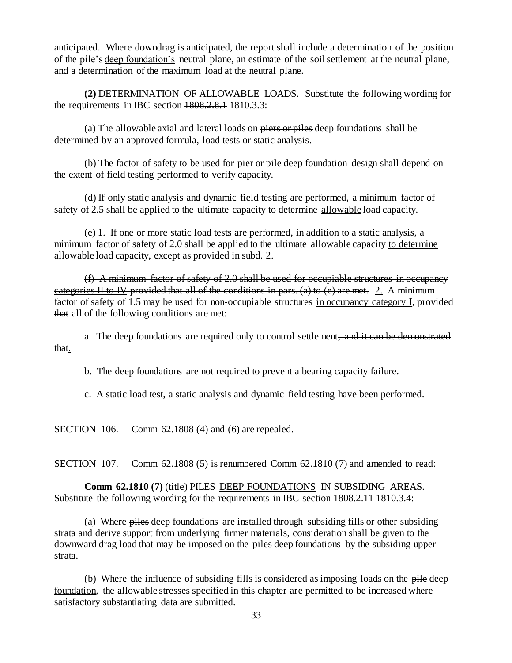anticipated. Where downdrag is anticipated, the report shall include a determination of the position of the pile's deep foundation's neutral plane, an estimate of the soil settlement at the neutral plane, and a determination of the maximum load at the neutral plane.

**(2)** DETERMINATION OF ALLOWABLE LOADS. Substitute the following wording for the requirements in IBC section  $1808, 2.8.1$   $1810, 3.3$ :

(a) The allowable axial and lateral loads on piers or piles deep foundations shall be determined by an approved formula, load tests or static analysis.

(b) The factor of safety to be used for pier or pile deep foundation design shall depend on the extent of field testing performed to verify capacity.

(d) If only static analysis and dynamic field testing are performed, a minimum factor of safety of 2.5 shall be applied to the ultimate capacity to determine allowable load capacity.

(e)  $\overline{1}$ . If one or more static load tests are performed, in addition to a static analysis, a minimum factor of safety of 2.0 shall be applied to the ultimate allowable capacity to determine allowable load capacity, except as provided in subd. 2.

(f) A minimum factor of safety of 2.0 shall be used for occupiable structures in occupancy categories II to IV provided that all of the conditions in pars. (a) to (e) are met. 2. A minimum factor of safety of 1.5 may be used for non-occupiable structures in occupancy category I, provided that all of the following conditions are met:

a. The deep foundations are required only to control settlement, and it can be demonstrated that.

b. The deep foundations are not required to prevent a bearing capacity failure.

c. A static load test, a static analysis and dynamic field testing have been performed.

SECTION 106. Comm 62.1808 (4) and (6) are repealed.

SECTION 107. Comm 62.1808 (5) is renumbered Comm 62.1810 (7) and amended to read:

**Comm 62.1810 (7)** (title) PILES DEEP FOUNDATIONS IN SUBSIDING AREAS. Substitute the following wording for the requirements in IBC section 1808.2.11 1810.3.4:

(a) Where piles deep foundations are installed through subsiding fills or other subsiding strata and derive support from underlying firmer materials, consideration shall be given to the downward drag load that may be imposed on the piles deep foundations by the subsiding upper strata.

(b) Where the influence of subsiding fills is considered as imposing loads on the pile deep foundation, the allowable stresses specified in this chapter are permitted to be increased where satisfactory substantiating data are submitted.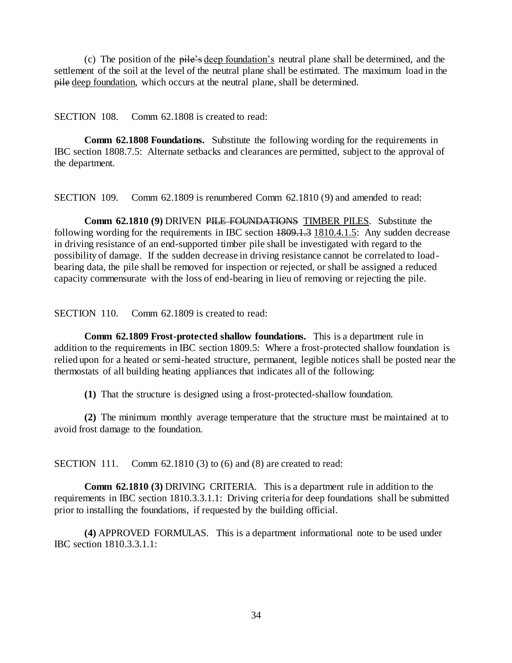(c) The position of the pile's deep foundation's neutral plane shall be determined, and the settlement of the soil at the level of the neutral plane shall be estimated. The maximum load in the pile deep foundation, which occurs at the neutral plane, shall be determined.

SECTION 108. Comm 62.1808 is created to read:

**Comm 62.1808 Foundations.** Substitute the following wording for the requirements in IBC section 1808.7.5: Alternate setbacks and clearances are permitted, subject to the approval of the department.

SECTION 109. Comm 62.1809 is renumbered Comm 62.1810 (9) and amended to read:

**Comm 62.1810 (9)** DRIVEN PILE FOUNDATIONS TIMBER PILES*.* Substitute the following wording for the requirements in IBC section  $\frac{1809.1.3}{1810.4.1.5}$ : Any sudden decrease in driving resistance of an end-supported timber pile shall be investigated with regard to the possibility of damage. If the sudden decrease in driving resistance cannot be correlated to loadbearing data, the pile shall be removed for inspection or rejected, or shall be assigned a reduced capacity commensurate with the loss of end-bearing in lieu of removing or rejecting the pile.

SECTION 110. Comm 62.1809 is created to read:

**Comm 62.1809 Frost-protected shallow foundations.** This is a department rule in addition to the requirements in IBC section 1809.5: Where a frost-protected shallow foundation is relied upon for a heated or semi-heated structure, permanent, legible notices shall be posted near the thermostats of all building heating appliances that indicates all of the following:

**(1)** That the structure is designed using a frost-protected-shallow foundation.

**(2)** The minimum monthly average temperature that the structure must be maintained at to avoid frost damage to the foundation.

SECTION 111. Comm 62.1810 (3) to (6) and (8) are created to read:

**Comm 62.1810 (3)** DRIVING CRITERIA. This is a department rule in addition to the requirements in IBC section 1810.3.3.1.1: Driving criteria for deep foundations shall be submitted prior to installing the foundations, if requested by the building official.

**(4)** APPROVED FORMULAS. This is a department informational note to be used under IBC section 1810.3.3.1.1: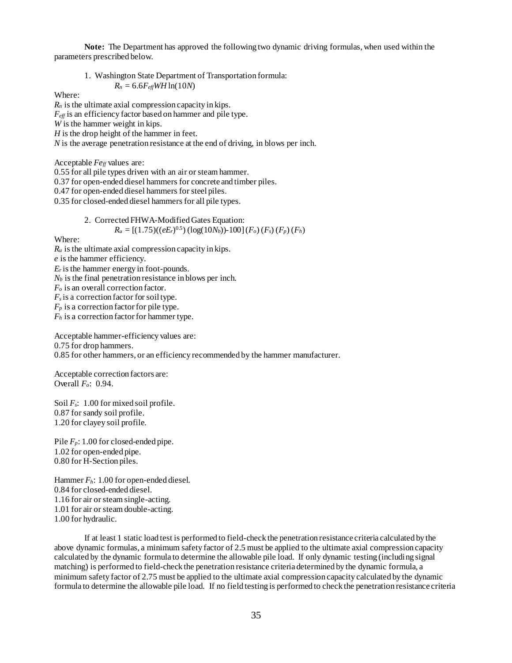**Note:** The Department has approved the following two dynamic driving formulas, when used within the parameters prescribed below.

1. Washington State Department of Transportation formula:  $R_n = 6.6 F_{\text{eff}} W H \ln(10N)$ 

Where:

*R<sup>n</sup>* is the ultimate axial compression capacity in kips. *Feff* is an efficiency factor based on hammer and pile type. *W* is the hammer weight in kips. *H* is the drop height of the hammer in feet. *N* is the average penetration resistance at the end of driving, in blows per inch.

Acceptable *Fe<sub>ff</sub>* values are:

0.55 for all pile types driven with an air or steam hammer.

0.37 for open-ended diesel hammers for concrete and timber piles.

0.47 for open-ended diesel hammers for steel piles.

0.35 for closed-ended diesel hammers for all pile types.

2. Corrected FHWA-Modified Gates Equation:  
\n
$$
R_u = [(1.75)((eE_r)^{0.5}) (\log(10N_b)) - 100] (F_o) (F_s) (F_p) (F_h)
$$

Where:

 $R_u$  is the ultimate axial compression capacity in kips. *e* is the hammer efficiency.  $E_r$  is the hammer energy in foot-pounds.  $N_b$  is the final penetration resistance in blows per inch. *F<sup>o</sup>* is an overall correction factor.  $F<sub>s</sub>$  is a correction factor for soil type.  $F_p$  is a correction factor for pile type. *F<sup>h</sup>* is a correction factor for hammer type.

Acceptable hammer-efficiency values are: 0.75 for drop hammers. 0.85 for other hammers, or an efficiency recommended by the hammer manufacturer.

Acceptable correction factors are: Overall *Fo*: 0.94.

Soil *Fs*: 1.00 for mixed soil profile. 0.87 for sandy soil profile. 1.20 for clayey soil profile.

Pile  $F_p$ : 1.00 for closed-ended pipe. 1.02 for open-ended pipe. 0.80 for H-Section piles.

Hammer *Fh*: 1.00 for open-ended diesel. 0.84 for closed-ended diesel. 1.16 for air or steam single-acting. 1.01 for air or steam double-acting. 1.00 for hydraulic.

If at least 1 static load test is performed to field-check the penetration resistance criteria calculated by the above dynamic formulas, a minimum safety factor of 2.5 must be applied to the ultimate axial compression capacity calculated by the dynamic formula to determine the allowable pile load. If only dynamic testing (including signal matching) is performed to field-check the penetration resistance criteria determined by the dynamic formula, a minimum safety factor of 2.75 must be applied to the ultimate axial compression capacity calculated by the dynamic formula to determine the allowable pile load. If no field testing is performed to check the penetration resistance criteria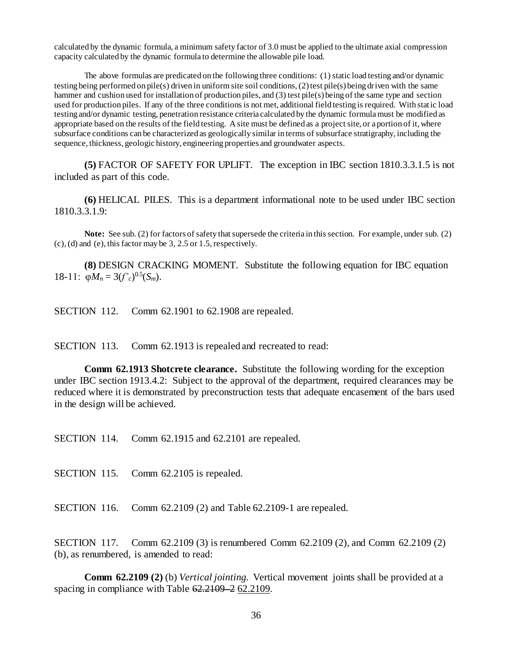calculated by the dynamic formula, a minimum safety factor of 3.0 must be applied to the ultimate axial compression capacity calculated by the dynamic formula to determine the allowable pile load.

The above formulas are predicated on the following three conditions: (1) static load testing and/or dynamic testing being performed on pile(s) driven in uniform site soil conditions, (2) test pile(s) being driven with the same hammer and cushion used for installation of production piles, and (3) test pile(s) being of the same type and section used for production piles. If any of the three conditions is not met, additional field testing is required. With static load testing and/or dynamic testing, penetration resistance criteria calculated by the dynamic formula must be modified as appropriate based on the results of the field testing. A site must be defined as a project site, or a portion of it, where subsurface conditions can be characterized as geologically similar in terms of subsurface stratigraphy, including the sequence, thickness, geologic history, engineering properties and groundwater aspects.

**(5)** FACTOR OF SAFETY FOR UPLIFT. The exception in IBC section 1810.3.3.1.5 is not included as part of this code.

**(6)** HELICAL PILES. This is a department informational note to be used under IBC section 1810.3.3.1.9:

**Note:** See sub. (2) for factors of safety that supersede the criteria in this section. For example, under sub. (2) (c), (d) and (e), this factor may be 3, 2.5 or 1.5, respectively.

**(8)** DESIGN CRACKING MOMENT. Substitute the following equation for IBC equation 18-11:  $\varphi M_n = 3(f'_c)^{0.5}(S_m)$ .

SECTION 112. Comm 62.1901 to 62.1908 are repealed.

SECTION 113. Comm 62.1913 is repealed and recreated to read:

**Comm 62.1913 Shotcrete clearance.** Substitute the following wording for the exception under IBC section 1913.4.2: Subject to the approval of the department, required clearances may be reduced where it is demonstrated by preconstruction tests that adequate encasement of the bars used in the design will be achieved.

SECTION 114. Comm 62.1915 and 62.2101 are repealed.

SECTION 115. Comm 62.2105 is repealed.

SECTION 116. Comm 62.2109 (2) and Table 62.2109-1 are repealed.

SECTION 117. Comm 62.2109 (3) is renumbered Comm 62.2109 (2), and Comm 62.2109 (2) (b), as renumbered, is amended to read:

**Comm 62.2109 (2)** (b) *Vertical jointing.* Vertical movement joints shall be provided at a spacing in compliance with Table 62.2109 – 2 62.2109.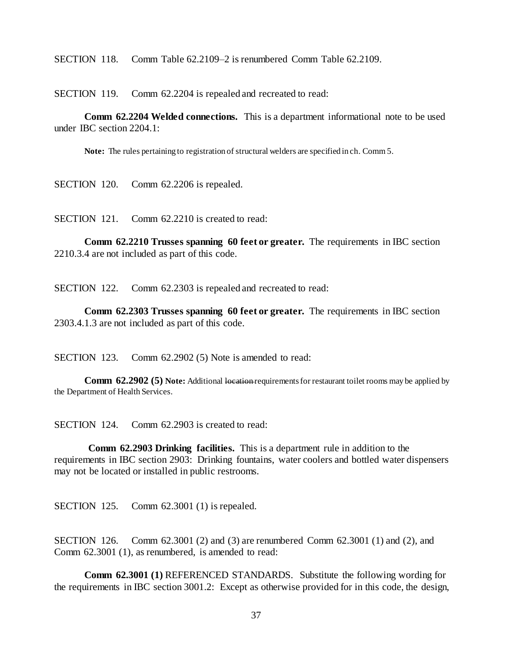SECTION 118. Comm Table 62.2109–2 is renumbered Comm Table 62.2109.

SECTION 119. Comm 62.2204 is repealed and recreated to read:

**Comm 62.2204 Welded connections.** This is a department informational note to be used under IBC section 2204.1:

**Note:** The rules pertaining to registration of structural welders are specified in ch. Comm 5.

SECTION 120. Comm 62.2206 is repealed.

SECTION 121. Comm 62.2210 is created to read:

**Comm 62.2210 Trusses spanning 60 feet or greater.** The requirements in IBC section 2210.3.4 are not included as part of this code.

SECTION 122. Comm 62.2303 is repealed and recreated to read:

**Comm 62.2303 Trusses spanning 60 feet or greater.** The requirements in IBC section 2303.4.1.3 are not included as part of this code.

SECTION 123. Comm 62.2902 (5) Note is amended to read:

**Comm 62.2902 (5) Note:** Additional location requirements for restaurant toilet rooms may be applied by the Department of Health Services.

SECTION 124. Comm 62.2903 is created to read:

**Comm 62.2903 Drinking facilities.** This is a department rule in addition to the requirements in IBC section 2903: Drinking fountains, water coolers and bottled water dispensers may not be located or installed in public restrooms.

SECTION 125. Comm 62.3001 (1) is repealed.

SECTION 126. Comm 62.3001 (2) and (3) are renumbered Comm 62.3001 (1) and (2), and Comm 62.3001 (1), as renumbered, is amended to read:

**Comm 62.3001 (1)** REFERENCED STANDARDS. Substitute the following wording for the requirements in IBC section 3001.2: Except as otherwise provided for in this code, the design,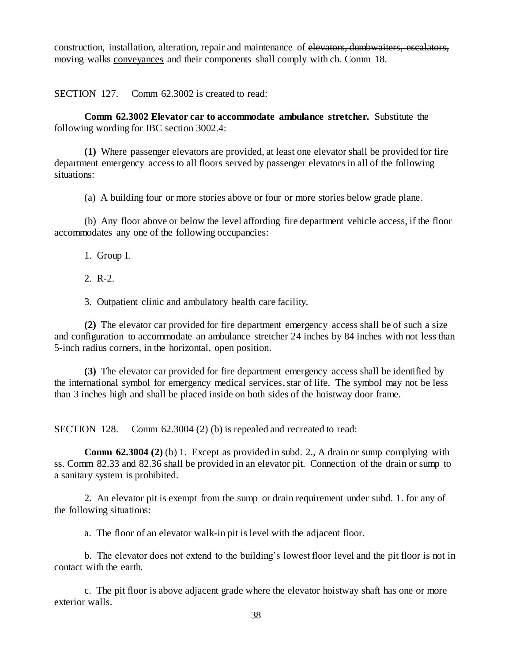construction, installation, alteration, repair and maintenance of elevators, dumbwaiters, escalators, moving walks conveyances and their components shall comply with ch. Comm 18.

SECTION 127. Comm 62.3002 is created to read:

**Comm 62.3002 Elevator car to accommodate ambulance stretcher.** Substitute the following wording for IBC section 3002.4:

**(1)** Where passenger elevators are provided, at least one elevator shall be provided for fire department emergency access to all floors served by passenger elevators in all of the following situations:

(a) A building four or more stories above or four or more stories below grade plane.

(b) Any floor above or below the level affording fire department vehicle access, if the floor accommodates any one of the following occupancies:

1. Group I.

2. R-2.

3. Outpatient clinic and ambulatory health care facility.

**(2)** The elevator car provided for fire department emergency access shall be of such a size and configuration to accommodate an ambulance stretcher 24 inches by 84 inches with not less than 5-inch radius corners, in the horizontal, open position.

**(3)** The elevator car provided for fire department emergency access shall be identified by the international symbol for emergency medical services, star of life. The symbol may not be less than 3 inches high and shall be placed inside on both sides of the hoistway door frame.

SECTION 128. Comm 62.3004 (2) (b) is repealed and recreated to read:

**Comm 62.3004 (2)** (b) 1. Except as provided in subd. 2., A drain or sump complying with ss. Comm 82.33 and 82.36 shall be provided in an elevator pit. Connection of the drain or sump to a sanitary system is prohibited.

2. An elevator pit is exempt from the sump or drain requirement under subd. 1. for any of the following situations:

a. The floor of an elevator walk-in pit is level with the adjacent floor.

b. The elevator does not extend to the building's lowest floor level and the pit floor is not in contact with the earth.

c. The pit floor is above adjacent grade where the elevator hoistway shaft has one or more exterior walls.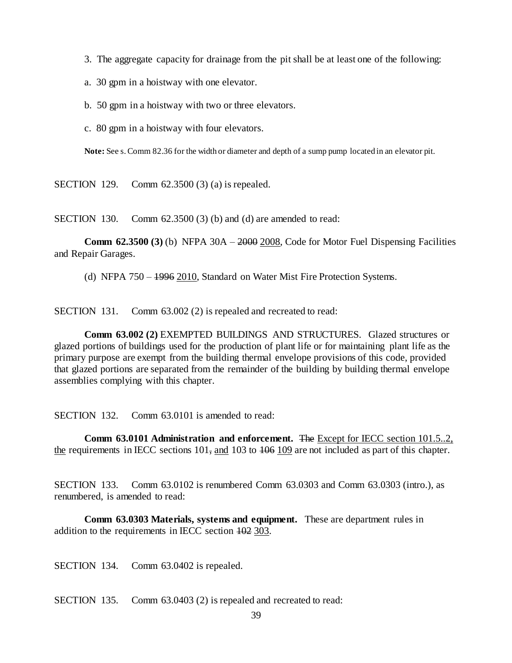- 3. The aggregate capacity for drainage from the pit shall be at least one of the following:
- a. 30 gpm in a hoistway with one elevator.
- b. 50 gpm in a hoistway with two or three elevators.
- c. 80 gpm in a hoistway with four elevators.

**Note:** See s. Comm 82.36 for the width or diameter and depth of a sump pump located in an elevator pit.

SECTION 129. Comm 62.3500 (3) (a) is repealed.

SECTION 130. Comm 62.3500 (3) (b) and (d) are amended to read:

**Comm 62.3500 (3)** (b) NFPA 30A – 2000 2008, Code for Motor Fuel Dispensing Facilities and Repair Garages.

(d) NFPA 750 – 1996 2010, Standard on Water Mist Fire Protection Systems.

SECTION 131. Comm 63.002 (2) is repealed and recreated to read:

**Comm 63.002 (2)** EXEMPTED BUILDINGS AND STRUCTURES. Glazed structures or glazed portions of buildings used for the production of plant life or for maintaining plant life as the primary purpose are exempt from the building thermal envelope provisions of this code, provided that glazed portions are separated from the remainder of the building by building thermal envelope assemblies complying with this chapter.

SECTION 132. Comm 63.0101 is amended to read:

**Comm 63.0101 Administration and enforcement.** The Except for IECC section 101.5..2, the requirements in IECC sections  $101$ , and  $103$  to  $106$  109 are not included as part of this chapter.

SECTION 133. Comm 63.0102 is renumbered Comm 63.0303 and Comm 63.0303 (intro.), as renumbered, is amended to read:

**Comm 63.0303 Materials, systems and equipment.** These are department rules in addition to the requirements in IECC section 102 303.

SECTION 134. Comm 63.0402 is repealed.

SECTION 135. Comm 63.0403 (2) is repealed and recreated to read: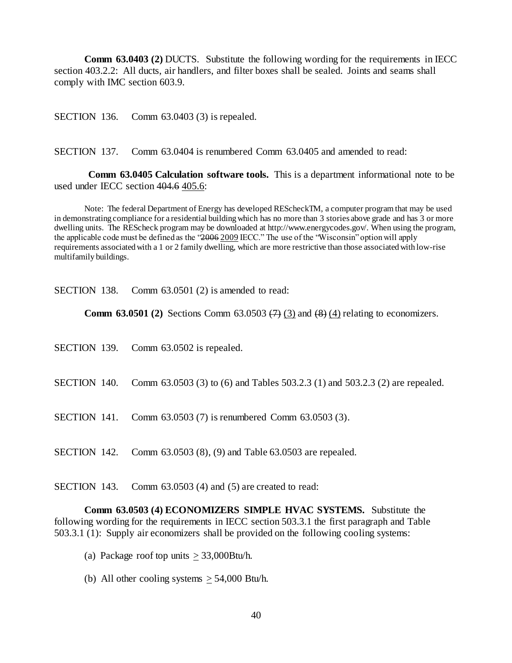**Comm 63.0403 (2)** DUCTS. Substitute the following wording for the requirements in IECC section 403.2.2: All ducts, air handlers, and filter boxes shall be sealed. Joints and seams shall comply with IMC section 603.9.

SECTION 136. Comm 63.0403 (3) is repealed.

SECTION 137. Comm 63.0404 is renumbered Comm 63.0405 and amended to read:

**Comm 63.0405 Calculation software tools.** This is a department informational note to be used under IECC section 404.6 405.6:

Note: The federal Department of Energy has developed REScheckTM, a computer program that may be used in demonstrating compliance for a residential building which has no more than 3 stories above grade and has 3 or more dwelling units. The REScheck program may be downloaded at http://www.energycodes.gov/. When using the program, the applicable code must be defined as the "2006 2009 IECC." The use of the "Wisconsin" option will apply requirements associated with a 1 or 2 family dwelling, which are more restrictive than those associated with low-rise multifamily buildings.

SECTION 138. Comm 63.0501 (2) is amended to read:

**Comm 63.0501 (2)** Sections Comm 63.0503  $(7)$  (3) and  $(8)$  (4) relating to economizers.

| SECTION 139. Comm 63.0502 is repealed.                                                    |
|-------------------------------------------------------------------------------------------|
| SECTION 140. Comm 63.0503 (3) to (6) and Tables 503.2.3 (1) and 503.2.3 (2) are repealed. |
| <b>SECTION</b> 141. Comm 63.0503 (7) is renumbered Comm 63.0503 (3).                      |
| SECTION 142. Comm 63.0503 (8), (9) and Table 63.0503 are repealed.                        |

SECTION 143. Comm 63.0503 (4) and (5) are created to read:

**Comm 63.0503 (4) ECONOMIZERS SIMPLE HVAC SYSTEMS.** Substitute the following wording for the requirements in IECC section 503.3.1 the first paragraph and Table 503.3.1 (1): Supply air economizers shall be provided on the following cooling systems:

- (a) Package roof top units  $> 33,000$ Btu/h.
- (b) All other cooling systems  $\geq 54,000$  Btu/h.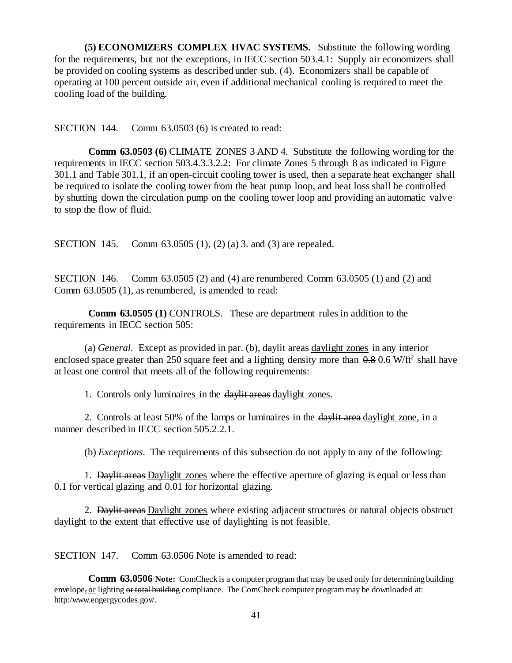**(5) ECONOMIZERS COMPLEX HVAC SYSTEMS.** Substitute the following wording for the requirements, but not the exceptions, in IECC section 503.4.1: Supply air economizers shall be provided on cooling systems as described under sub. (4). Economizers shall be capable of operating at 100 percent outside air, even if additional mechanical cooling is required to meet the cooling load of the building.

SECTION 144. Comm 63.0503 (6) is created to read:

**Comm 63.0503 (6)** CLIMATE ZONES 3 AND 4. Substitute the following wording for the requirements in IECC section 503.4.3.3.2.2: For climate Zones 5 through 8 as indicated in Figure 301.1 and Table 301.1, if an open-circuit cooling tower is used, then a separate heat exchanger shall be required to isolate the cooling tower from the heat pump loop, and heat loss shall be controlled by shutting down the circulation pump on the cooling tower loop and providing an automatic valve to stop the flow of fluid.

SECTION 145. Comm 63.0505 (1), (2) (a) 3. and (3) are repealed.

SECTION 146. Comm 63.0505 (2) and (4) are renumbered Comm 63.0505 (1) and (2) and Comm 63.0505 (1), as renumbered, is amended to read:

**Comm 63.0505 (1)** CONTROLS. These are department rules in addition to the requirements in IECC section 505:

(a) *General.* Except as provided in par. (b), daylit areas daylight zones in any interior enclosed space greater than 250 square feet and a lighting density more than  $0.8 \times 0.6$  W/ft<sup>2</sup> shall have at least one control that meets all of the following requirements:

1. Controls only luminaires in the daylit areas daylight zones.

2. Controls at least 50% of the lamps or luminaires in the davitation daylight zone, in a manner described in IECC section 505.2.2.1.

(b) *Exceptions.* The requirements of this subsection do not apply to any of the following:

1. Daylit areas Daylight zones where the effective aperture of glazing is equal or less than 0.1 for vertical glazing and 0.01 for horizontal glazing.

2. Daylit areas Daylight zones where existing adjacent structures or natural objects obstruct daylight to the extent that effective use of daylighting is not feasible.

SECTION 147. Comm 63.0506 Note is amended to read:

**Comm 63.0506 Note:** ComCheck is a computer program that may be used only for determining building envelope, or lighting or total building compliance. The ComCheck computer program may be downloaded at: http:/www.engergycodes.gov/.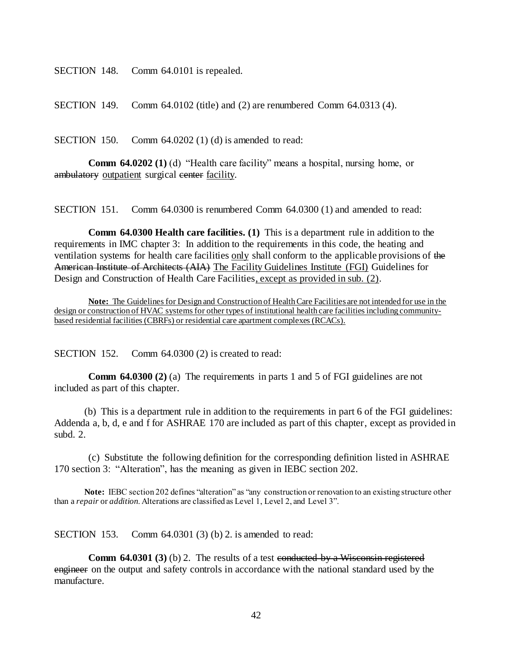SECTION 148. Comm 64.0101 is repealed.

SECTION 149. Comm 64.0102 (title) and (2) are renumbered Comm 64.0313 (4).

SECTION 150. Comm 64.0202 (1) (d) is amended to read:

**Comm 64.0202 (1)** (d) "Health care facility" means a hospital, nursing home, or ambulatory outpatient surgical center facility.

SECTION 151. Comm 64.0300 is renumbered Comm 64.0300 (1) and amended to read:

**Comm 64.0300 Health care facilities. (1)** This is a department rule in addition to the requirements in IMC chapter 3: In addition to the requirements in this code, the heating and ventilation systems for health care facilities only shall conform to the applicable provisions of the American Institute of Architects (AIA) The Facility Guidelines Institute (FGI) Guidelines for Design and Construction of Health Care Facilities, except as provided in sub. (2).

**Note:** The Guidelines for Design and Construction of Health Care Facilities are not intended for use in the design or construction of HVAC systems for other types of institutional health care facilities including communitybased residential facilities (CBRFs) or residential care apartment complexes (RCACs).

SECTION 152. Comm 64.0300 (2) is created to read:

**Comm 64.0300 (2)** (a) The requirements in parts 1 and 5 of FGI guidelines are not included as part of this chapter.

(b) This is a department rule in addition to the requirements in part 6 of the FGI guidelines: Addenda a, b, d, e and f for ASHRAE 170 are included as part of this chapter, except as provided in subd. 2.

(c) Substitute the following definition for the corresponding definition listed in ASHRAE 170 section 3: "Alteration", has the meaning as given in IEBC section 202.

**Note:** IEBC section 202 defines "alteration" as "any construction or renovation to an existing structure other than a *repair* or *addition*. Alterations are classified as Level 1, Level 2, and Level 3".

SECTION 153. Comm 64.0301 (3) (b) 2. is amended to read:

**Comm 64.0301 (3)** (b) 2. The results of a test conducted by a Wisconsin registered engineer on the output and safety controls in accordance with the national standard used by the manufacture.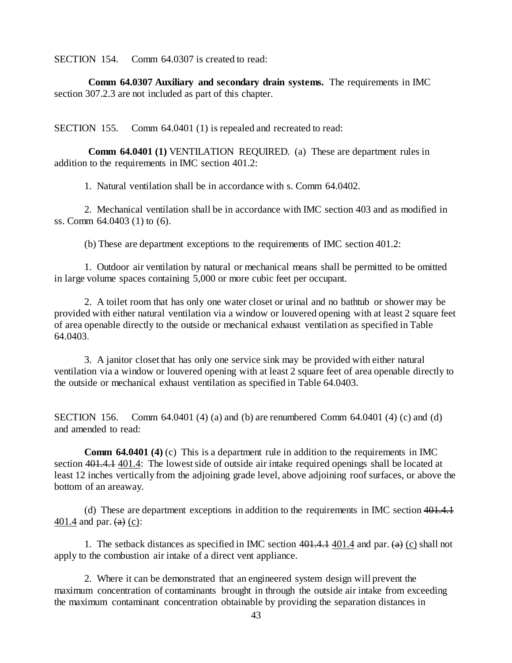SECTION 154. Comm 64.0307 is created to read:

**Comm 64.0307 Auxiliary and secondary drain systems.** The requirements in IMC section 307.2.3 are not included as part of this chapter.

SECTION 155. Comm 64.0401 (1) is repealed and recreated to read:

**Comm 64.0401 (1)** VENTILATION REQUIRED. (a) These are department rules in addition to the requirements in IMC section 401.2:

1. Natural ventilation shall be in accordance with s. Comm 64.0402.

2. Mechanical ventilation shall be in accordance with IMC section 403 and as modified in ss. Comm 64.0403 (1) to (6).

(b) These are department exceptions to the requirements of IMC section 401.2:

1. Outdoor air ventilation by natural or mechanical means shall be permitted to be omitted in large volume spaces containing 5,000 or more cubic feet per occupant.

2. A toilet room that has only one water closet or urinal and no bathtub or shower may be provided with either natural ventilation via a window or louvered opening with at least 2 square feet of area openable directly to the outside or mechanical exhaust ventilation as specified in Table 64.0403.

3. A janitor closet that has only one service sink may be provided with either natural ventilation via a window or louvered opening with at least 2 square feet of area openable directly to the outside or mechanical exhaust ventilation as specified in Table 64.0403.

SECTION 156. Comm 64.0401 (4) (a) and (b) are renumbered Comm 64.0401 (4) (c) and (d) and amended to read:

**Comm 64.0401 (4)** (c) This is a department rule in addition to the requirements in IMC section 401.4.1 401.4: The lowest side of outside air intake required openings shall be located at least 12 inches vertically from the adjoining grade level, above adjoining roof surfaces, or above the bottom of an areaway.

(d) These are department exceptions in addition to the requirements in IMC section 401.4.1  $401.4$  and par.  $(a)$  (c):

1. The setback distances as specified in IMC section  $401.4.141$  and par. (a) (c) shall not apply to the combustion air intake of a direct vent appliance.

2. Where it can be demonstrated that an engineered system design will prevent the maximum concentration of contaminants brought in through the outside air intake from exceeding the maximum contaminant concentration obtainable by providing the separation distances in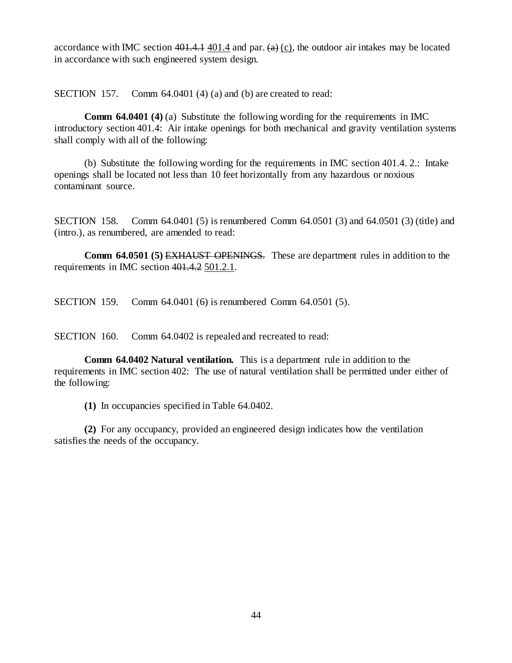accordance with IMC section  $401.4$ , 401.4 and par.  $(a)$  (c), the outdoor air intakes may be located in accordance with such engineered system design.

SECTION 157. Comm 64.0401 (4) (a) and (b) are created to read:

**Comm 64.0401 (4)** (a) Substitute the following wording for the requirements in IMC introductory section 401.4: Air intake openings for both mechanical and gravity ventilation systems shall comply with all of the following:

(b) Substitute the following wording for the requirements in IMC section 401.4. 2.: Intake openings shall be located not less than 10 feet horizontally from any hazardous or noxious contaminant source.

SECTION 158. Comm 64.0401 (5) is renumbered Comm 64.0501 (3) and 64.0501 (3) (title) and (intro.), as renumbered, are amended to read:

**Comm 64.0501 (5)** EXHAUST OPENINGS. These are department rules in addition to the requirements in IMC section 401.4.2 501.2.1.

SECTION 159. Comm 64.0401 (6) is renumbered Comm 64.0501 (5).

SECTION 160. Comm 64.0402 is repealed and recreated to read:

**Comm 64.0402 Natural ventilation.** This is a department rule in addition to the requirements in IMC section 402: The use of natural ventilation shall be permitted under either of the following:

**(1)** In occupancies specified in Table 64.0402.

**(2)** For any occupancy, provided an engineered design indicates how the ventilation satisfies the needs of the occupancy.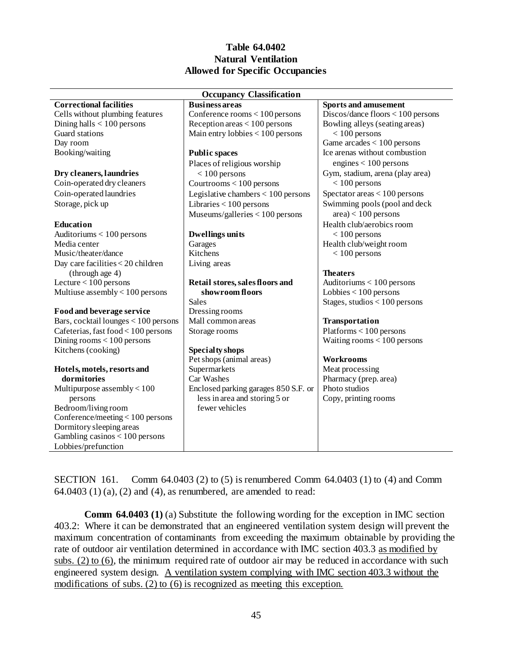### **Table 64.0402 Natural Ventilation Allowed for Specific Occupancies**

| <b>Occupancy Classification</b>      |                                      |                                     |  |  |
|--------------------------------------|--------------------------------------|-------------------------------------|--|--|
| <b>Correctional facilities</b>       | <b>Business areas</b>                | <b>Sports and amusement</b>         |  |  |
| Cells without plumbing features      | Conference rooms $< 100$ persons     | $Discos/dance$ floors < 100 persons |  |  |
| Dining halls $< 100$ persons         | Reception areas $< 100$ persons      | Bowling alleys (seating areas)      |  |  |
| Guard stations                       | Main entry lobbies $< 100$ persons   | $< 100$ persons                     |  |  |
| Day room                             |                                      | Game $arcades < 100$ persons        |  |  |
| Booking/waiting                      | <b>Public spaces</b>                 | Ice arenas without combustion       |  |  |
|                                      | Places of religious worship          | engines $< 100$ persons             |  |  |
| Dry cleaners, laundries              | $< 100$ persons                      | Gym, stadium, arena (play area)     |  |  |
| Coin-operated dry cleaners           | Courtrooms $< 100$ persons           | $< 100$ persons                     |  |  |
| Coin-operated laundries              | Legislative chambers $< 100$ persons | Spectator areas $< 100$ persons     |  |  |
| Storage, pick up                     | Libraries $< 100$ persons            | Swimming pools (pool and deck       |  |  |
|                                      | Museums/galleries < 100 persons      | $area$ < 100 persons                |  |  |
| Education                            |                                      | Health club/aerobics room           |  |  |
| Auditoriums $< 100$ persons          | <b>Dwellings units</b>               | $< 100$ persons                     |  |  |
| Media center                         | Garages                              | Health club/weight room             |  |  |
| Music/theater/dance                  | Kitchens                             | $< 100$ persons                     |  |  |
| Day care facilities < 20 children    | Living areas                         |                                     |  |  |
| (through age 4)                      |                                      | <b>Theaters</b>                     |  |  |
| Lecture $< 100$ persons              | Retail stores, sales floors and      | Auditoriums $< 100$ persons         |  |  |
| Multiuse assembly $< 100$ persons    | showroom floors                      | Lobbies $< 100$ persons             |  |  |
|                                      | <b>Sales</b>                         | Stages, studios $< 100$ persons     |  |  |
| Food and beverage service            | Dressing rooms                       |                                     |  |  |
| Bars, cocktail lounges < 100 persons | Mall common areas                    | Transportation                      |  |  |
| Cafeterias, fast food < 100 persons  | Storage rooms                        | $Platforms < 100$ persons           |  |  |
| Dining rooms $< 100$ persons         |                                      | Waiting rooms $< 100$ persons       |  |  |
| Kitchens (cooking)                   | Specialty shops                      |                                     |  |  |
|                                      | Pet shops (animal areas)             | <b>Workrooms</b>                    |  |  |
| Hotels, motels, resorts and          | Supermarkets                         | Meat processing                     |  |  |
| dormitories                          | Car Washes                           | Pharmacy (prep. area)               |  |  |
| Multipurpose assembly $< 100$        | Enclosed parking garages 850 S.F. or | Photo studios                       |  |  |
| persons                              | less in area and storing 5 or        | Copy, printing rooms                |  |  |
| Bedroom/living room                  | fewer vehicles                       |                                     |  |  |
| Conference/meeting $< 100$ persons   |                                      |                                     |  |  |
| Dormitory sleeping areas             |                                      |                                     |  |  |
| Gambling casinos $< 100$ persons     |                                      |                                     |  |  |
| Lobbies/prefunction                  |                                      |                                     |  |  |

SECTION 161. Comm 64.0403 (2) to (5) is renumbered Comm 64.0403 (1) to (4) and Comm  $64.0403$  (1) (a), (2) and (4), as renumbered, are amended to read:

**Comm 64.0403 (1)** (a) Substitute the following wording for the exception in IMC section 403.2: Where it can be demonstrated that an engineered ventilation system design will prevent the maximum concentration of contaminants from exceeding the maximum obtainable by providing the rate of outdoor air ventilation determined in accordance with IMC section 403.3 as modified by subs. (2) to (6), the minimum required rate of outdoor air may be reduced in accordance with such engineered system design. A ventilation system complying with IMC section 403.3 without the modifications of subs. (2) to (6) is recognized as meeting this exception.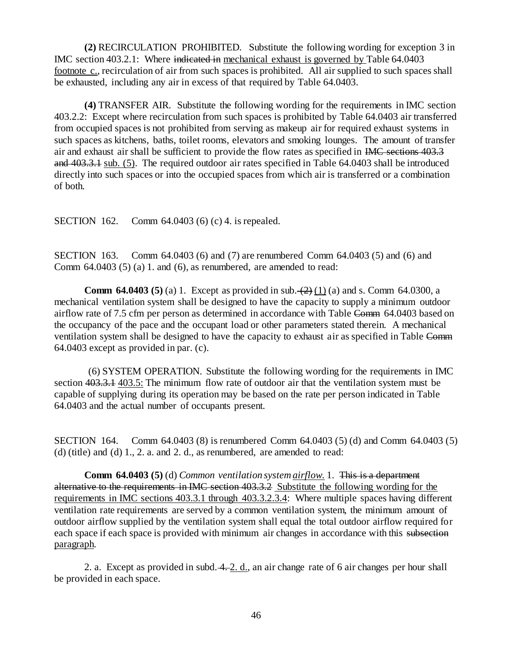**(2)** RECIRCULATION PROHIBITED. Substitute the following wording for exception 3 in IMC section 403.2.1: Where indicated in mechanical exhaust is governed by Table 64.0403 footnote c., recirculation of air from such spaces is prohibited. All air supplied to such spaces shall be exhausted, including any air in excess of that required by Table 64.0403.

**(4)** TRANSFER AIR. Substitute the following wording for the requirements in IMC section 403.2.2: Except where recirculation from such spaces is prohibited by Table 64.0403 air transferred from occupied spaces is not prohibited from serving as makeup air for required exhaust systems in such spaces as kitchens, baths, toilet rooms, elevators and smoking lounges. The amount of transfer air and exhaust air shall be sufficient to provide the flow rates as specified in IMC sections 403.3 and 403.3.1 sub. (5). The required outdoor air rates specified in Table 64.0403 shall be introduced directly into such spaces or into the occupied spaces from which air is transferred or a combination of both.

SECTION 162. Comm 64.0403 (6) (c) 4. is repealed.

SECTION 163. Comm 64.0403 (6) and (7) are renumbered Comm 64.0403 (5) and (6) and Comm  $64.0403(5)(a)$  1. and  $(6)$ , as renumbered, are amended to read:

**Comm 64.0403 (5)** (a) 1. Except as provided in sub.  $(2)$  (1) (a) and s. Comm 64.0300, a mechanical ventilation system shall be designed to have the capacity to supply a minimum outdoor airflow rate of 7.5 cfm per person as determined in accordance with Table Comm 64.0403 based on the occupancy of the pace and the occupant load or other parameters stated therein. A mechanical ventilation system shall be designed to have the capacity to exhaust air as specified in Table Comm 64.0403 except as provided in par. (c).

(6) SYSTEM OPERATION. Substitute the following wording for the requirements in IMC section 403.3.1 403.5: The minimum flow rate of outdoor air that the ventilation system must be capable of supplying during its operation may be based on the rate per person indicated in Table 64.0403 and the actual number of occupants present.

SECTION 164. Comm 64.0403 (8) is renumbered Comm 64.0403 (5) (d) and Comm 64.0403 (5) (d) (title) and (d)  $1, 2, a$  and  $2, d$ , as renumbered, are amended to read:

**Comm 64.0403 (5)** (d) *Common ventilation system airflow.* 1. This is a department alternative to the requirements in IMC section 403.3.2 Substitute the following wording for the requirements in IMC sections 403.3.1 through 403.3.2.3.4: Where multiple spaces having different ventilation rate requirements are served by a common ventilation system, the minimum amount of outdoor airflow supplied by the ventilation system shall equal the total outdoor airflow required for each space if each space is provided with minimum air changes in accordance with this subsection paragraph.

2. a. Except as provided in subd. 4. 2. d., an air change rate of 6 air changes per hour shall be provided in each space.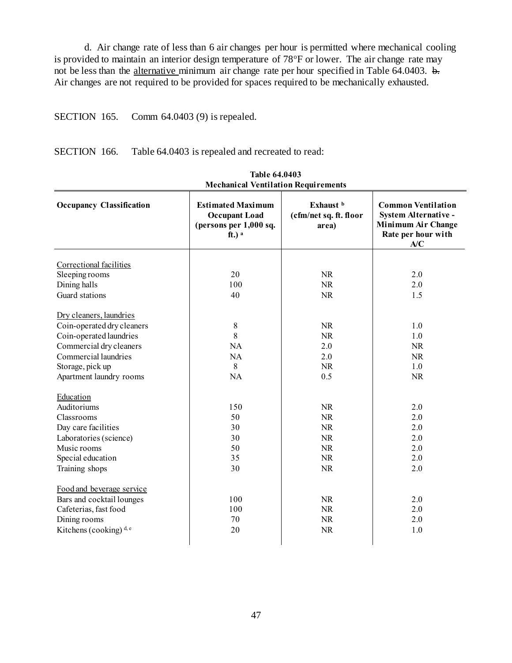d. Air change rate of less than 6 air changes per hour is permitted where mechanical cooling is provided to maintain an interior design temperature of 78°F or lower. The air change rate may not be less than the alternative minimum air change rate per hour specified in Table 64.0403. b. Air changes are not required to be provided for spaces required to be mechanically exhausted.

SECTION 165. Comm 64.0403 (9) is repealed.

SECTION 166. Table 64.0403 is repealed and recreated to read:

| <b>Freehamear Ventriation Requirements</b> |                                                                                                   |                                                         |                                                                                                      |  |  |
|--------------------------------------------|---------------------------------------------------------------------------------------------------|---------------------------------------------------------|------------------------------------------------------------------------------------------------------|--|--|
| <b>Occupancy Classification</b>            | <b>Estimated Maximum</b><br><b>Occupant Load</b><br>(persons per 1,000 sq.<br>$ft.)$ <sup>a</sup> | Exhaust <sup>b</sup><br>(cfm/net sq. ft. floor<br>area) | <b>Common Ventilation</b><br>System Alternative -<br>Minimum Air Change<br>Rate per hour with<br>A/C |  |  |
|                                            |                                                                                                   |                                                         |                                                                                                      |  |  |
| Correctional facilities                    |                                                                                                   |                                                         |                                                                                                      |  |  |
| Sleeping rooms                             | 20                                                                                                | <b>NR</b>                                               | 2.0                                                                                                  |  |  |
| Dining halls                               | 100                                                                                               | <b>NR</b>                                               | 2.0                                                                                                  |  |  |
| Guard stations                             | 40                                                                                                | NR                                                      | 1.5                                                                                                  |  |  |
|                                            |                                                                                                   |                                                         |                                                                                                      |  |  |
| Dry cleaners, laundries                    |                                                                                                   |                                                         |                                                                                                      |  |  |
| Coin-operated dry cleaners                 | $\,8\,$                                                                                           | <b>NR</b>                                               | 1.0                                                                                                  |  |  |
| Coin-operated laundries                    | 8                                                                                                 | <b>NR</b>                                               | 1.0                                                                                                  |  |  |
| Commercial dry cleaners                    | <b>NA</b>                                                                                         | 2.0                                                     | <b>NR</b>                                                                                            |  |  |
| Commercial laundries                       | NA                                                                                                | 2.0                                                     | <b>NR</b>                                                                                            |  |  |
| Storage, pick up                           | 8                                                                                                 | <b>NR</b>                                               | 1.0                                                                                                  |  |  |
| Apartment laundry rooms                    | NA                                                                                                | 0.5                                                     | <b>NR</b>                                                                                            |  |  |
| Education                                  |                                                                                                   |                                                         |                                                                                                      |  |  |
| Auditoriums                                | 150                                                                                               | NR                                                      | 2.0                                                                                                  |  |  |
| Classrooms                                 | 50                                                                                                | <b>NR</b>                                               | 2.0                                                                                                  |  |  |
| Day care facilities                        | 30                                                                                                | <b>NR</b>                                               | 2.0                                                                                                  |  |  |
|                                            | 30                                                                                                | $\rm NR$                                                | 2.0                                                                                                  |  |  |
| Laboratories (science)                     |                                                                                                   |                                                         |                                                                                                      |  |  |
| Music rooms                                | 50                                                                                                | <b>NR</b>                                               | 2.0                                                                                                  |  |  |
| Special education                          | 35                                                                                                | <b>NR</b>                                               | 2.0                                                                                                  |  |  |
| Training shops                             | 30                                                                                                | NR                                                      | 2.0                                                                                                  |  |  |
| Food and beverage service                  |                                                                                                   |                                                         |                                                                                                      |  |  |
| Bars and cocktail lounges                  | 100                                                                                               | <b>NR</b>                                               | 2.0                                                                                                  |  |  |
| Cafeterias, fast food                      | 100                                                                                               | <b>NR</b>                                               | 2.0                                                                                                  |  |  |
| Dining rooms                               | 70                                                                                                | NR.                                                     | 2.0                                                                                                  |  |  |
| Kitchens (cooking) $d,e$                   | 20                                                                                                | <b>NR</b>                                               | 1.0                                                                                                  |  |  |
|                                            |                                                                                                   |                                                         |                                                                                                      |  |  |

**Table 64.0403 Mechanical Ventilation Requirements**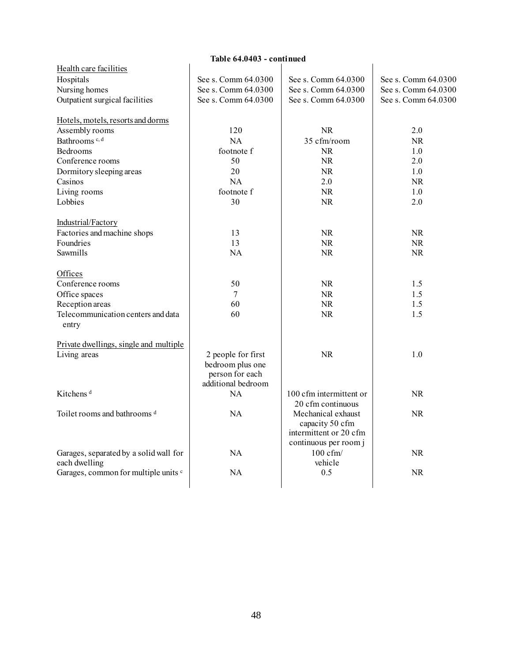| Health care facilities                      |                     |                         |                     |
|---------------------------------------------|---------------------|-------------------------|---------------------|
| Hospitals                                   | See s. Comm 64.0300 | See s. Comm 64.0300     | See s. Comm 64.0300 |
| Nursing homes                               | See s. Comm 64.0300 | See s. Comm 64.0300     | See s. Comm 64.0300 |
| Outpatient surgical facilities              | See s. Comm 64.0300 | See s. Comm 64.0300     | See s. Comm 64.0300 |
| Hotels, motels, resorts and dorms           |                     |                         |                     |
| Assembly rooms                              | 120                 | <b>NR</b>               | 2.0                 |
| Bathrooms <sup>c, d</sup>                   | NA                  | 35 cfm/room             | <b>NR</b>           |
| Bedrooms                                    | footnote f          | <b>NR</b>               | 1.0                 |
| Conference rooms                            | 50                  | <b>NR</b>               | 2.0                 |
| Dormitory sleeping areas                    | 20                  | <b>NR</b>               | 1.0                 |
| Casinos                                     | <b>NA</b>           | 2.0                     | <b>NR</b>           |
| Living rooms                                | footnote f          | NR                      | 1.0                 |
| Lobbies                                     | 30                  | <b>NR</b>               | 2.0                 |
| Industrial/Factory                          |                     |                         |                     |
| Factories and machine shops                 | 13                  | NR                      | <b>NR</b>           |
| Foundries                                   | 13                  | <b>NR</b>               | <b>NR</b>           |
| Sawmills                                    | <b>NA</b>           | <b>NR</b>               | <b>NR</b>           |
| Offices                                     |                     |                         |                     |
| Conference rooms                            | 50                  | NR.                     | 1.5                 |
| Office spaces                               | 7                   | <b>NR</b>               | 1.5                 |
| Reception areas                             | 60                  | <b>NR</b>               | 1.5                 |
| Telecommunication centers and data<br>entry | 60                  | NR                      | 1.5                 |
| Private dwellings, single and multiple      |                     |                         |                     |
| Living areas                                | 2 people for first  | <b>NR</b>               | 1.0                 |
|                                             | bedroom plus one    |                         |                     |
|                                             | person for each     |                         |                     |
|                                             | additional bedroom  |                         |                     |
| Kitchens <sup>d</sup>                       | NA                  | 100 cfm intermittent or | <b>NR</b>           |
|                                             |                     | 20 cfm continuous       |                     |
| Toilet rooms and bathrooms <sup>d</sup>     | NA                  | Mechanical exhaust      | <b>NR</b>           |
|                                             |                     | capacity 50 cfm         |                     |
|                                             |                     | intermittent or 20 cfm  |                     |
|                                             |                     | continuous per room j   |                     |
| Garages, separated by a solid wall for      | NA                  | $100 \text{ cfm}$       | <b>NR</b>           |
| each dwelling                               |                     | vehicle                 |                     |
| Garages, common for multiple units c        | <b>NA</b>           | 0.5                     | <b>NR</b>           |
|                                             |                     |                         |                     |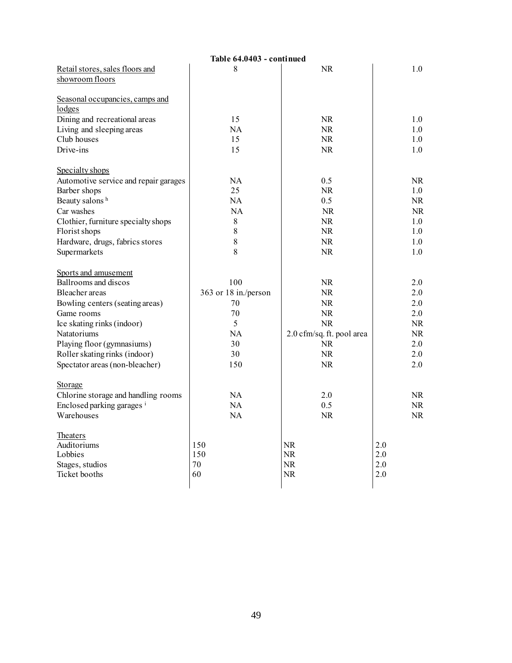|                                                                   | Table 64.0403 - continued |                           |           |
|-------------------------------------------------------------------|---------------------------|---------------------------|-----------|
| Retail stores, sales floors and                                   | 8                         | <b>NR</b>                 | 1.0       |
| showroom floors                                                   |                           |                           |           |
|                                                                   |                           |                           |           |
| Seasonal occupancies, camps and                                   |                           |                           |           |
| lodges                                                            |                           |                           |           |
| Dining and recreational areas                                     | 15                        | <b>NR</b>                 | 1.0       |
| Living and sleeping areas                                         | <b>NA</b>                 | <b>NR</b>                 | 1.0       |
| Club houses                                                       | 15                        | <b>NR</b>                 | 1.0       |
| Drive-ins                                                         | 15                        | <b>NR</b>                 | 1.0       |
|                                                                   |                           |                           |           |
| Specialty shops                                                   |                           |                           |           |
| Automotive service and repair garages                             | <b>NA</b>                 | 0.5                       | <b>NR</b> |
| Barber shops                                                      | 25                        | NR.                       | 1.0       |
| Beauty salons h                                                   | <b>NA</b>                 | 0.5                       | <b>NR</b> |
| Car washes                                                        | <b>NA</b>                 | <b>NR</b>                 | <b>NR</b> |
| Clothier, furniture specialty shops                               | 8                         | <b>NR</b>                 | 1.0       |
| Florist shops                                                     | 8                         | <b>NR</b>                 | 1.0       |
| Hardware, drugs, fabrics stores                                   | 8                         | <b>NR</b>                 | 1.0       |
| Supermarkets                                                      | 8                         | <b>NR</b>                 | 1.0       |
|                                                                   |                           |                           |           |
| Sports and amusement                                              |                           |                           |           |
| Ballrooms and discos                                              | 100                       | <b>NR</b>                 | 2.0       |
| Bleacher areas                                                    | 363 or 18 in./person      | <b>NR</b>                 | 2.0       |
| Bowling centers (seating areas)                                   | 70                        | NR.                       | 2.0       |
| Game rooms                                                        | 70                        | NR.                       | 2.0       |
| Ice skating rinks (indoor)                                        | 5                         | NR.                       | NR.       |
| Natatoriums                                                       | <b>NA</b>                 | 2.0 cfm/sq. ft. pool area | <b>NR</b> |
| Playing floor (gymnasiums)                                        | 30                        | <b>NR</b>                 | 2.0       |
| Roller skating rinks (indoor)                                     | 30                        | <b>NR</b>                 | 2.0       |
| Spectator areas (non-bleacher)                                    | 150                       | <b>NR</b>                 | 2.0       |
|                                                                   |                           |                           |           |
| Storage                                                           |                           |                           |           |
|                                                                   | <b>NA</b>                 | 2.0                       | <b>NR</b> |
| Chlorine storage and handling rooms<br>Enclosed parking garages i | <b>NA</b>                 | 0.5                       | <b>NR</b> |
| Warehouses                                                        | NA                        | <b>NR</b>                 | <b>NR</b> |
|                                                                   |                           |                           |           |
| Theaters                                                          |                           |                           |           |
| Auditoriums                                                       | 150                       | NR                        | 2.0       |
| Lobbies                                                           | 150                       | NR                        | 2.0       |
| Stages, studios                                                   | 70                        | NR                        | 2.0       |
| Ticket booths                                                     | 60                        | <b>NR</b>                 | 2.0       |
|                                                                   |                           |                           |           |
|                                                                   |                           |                           |           |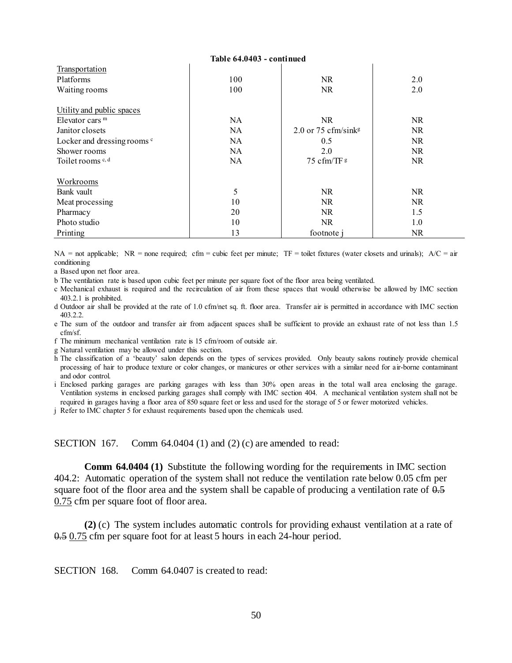| Table 64.0403 - continued              |     |                                 |           |  |
|----------------------------------------|-----|---------------------------------|-----------|--|
| Transportation                         |     |                                 |           |  |
| Platforms                              | 100 | NR.                             | 2.0       |  |
| Waiting rooms                          | 100 | NR.                             | 2.0       |  |
|                                        |     |                                 |           |  |
| Utility and public spaces              |     |                                 |           |  |
| Elevator cars $m$                      | NA. | <b>NR</b>                       | NR.       |  |
| Janitor closets                        | NA. | 2.0 or 75 cfm/sink <sup>g</sup> | NR        |  |
| Locker and dressing rooms <sup>c</sup> | NA. | 0.5                             | NR.       |  |
| Shower rooms                           | NA. | 2.0                             | NR.       |  |
| Toilet rooms $c, d$                    | NA  | 75 cfm/TF g                     | <b>NR</b> |  |
|                                        |     |                                 |           |  |
| Workrooms                              |     |                                 |           |  |
| Bank vault                             | 5   | NR.                             | NR        |  |
| Meat processing                        | 10  | NR.                             | NR.       |  |
| Pharmacy                               | 20  | <b>NR</b>                       | 1.5       |  |
| Photo studio                           | 10  | <b>NR</b>                       | 1.0       |  |
| Printing                               | 13  | footnote                        | NR.       |  |

NA = not applicable; NR = none required; cfm = cubic feet per minute; TF = toilet fixtures (water closets and urinals);  $A/C = air$ conditioning

a Based upon net floor area.

b The ventilation rate is based upon cubic feet per minute per square foot of the floor area being ventilated.

c Mechanical exhaust is required and the recirculation of air from these spaces that would otherwise be allowed by IMC section 403.2.1 is prohibited.

d Outdoor air shall be provided at the rate of 1.0 cfm/net sq. ft. floor area. Transfer air is permitted in accordance with IMC section 403.2.2.

e The sum of the outdoor and transfer air from adjacent spaces shall be sufficient to provide an exhaust rate of not less than 1.5 cfm/sf.

f The minimum mechanical ventilation rate is 15 cfm/room of outside air.

g Natural ventilation may be allowed under this section.

h The classification of a 'beauty' salon depends on the types of services provided. Only beauty salons routinely provide chemical processing of hair to produce texture or color changes, or manicures or other services with a similar need for air-borne contaminant and odor control.

i Enclosed parking garages are parking garages with less than 30% open areas in the total wall area enclosing the garage. Ventilation systems in enclosed parking garages shall comply with IMC section 404. A mechanical ventilation system shall not be required in garages having a floor area of 850 square feet or less and used for the storage of 5 or fewer motorized vehicles.

j Refer to IMC chapter 5 for exhaust requirements based upon the chemicals used.

SECTION 167. Comm 64.0404 (1) and (2) (c) are amended to read:

**Comm 64.0404 (1)** Substitute the following wording for the requirements in IMC section 404.2: Automatic operation of the system shall not reduce the ventilation rate below 0.05 cfm per square foot of the floor area and the system shall be capable of producing a ventilation rate of  $0.5$ 0.75 cfm per square foot of floor area.

**(2)** (c) The system includes automatic controls for providing exhaust ventilation at a rate of 0.5 0.75 cfm per square foot for at least 5 hours in each 24-hour period.

SECTION 168. Comm 64.0407 is created to read: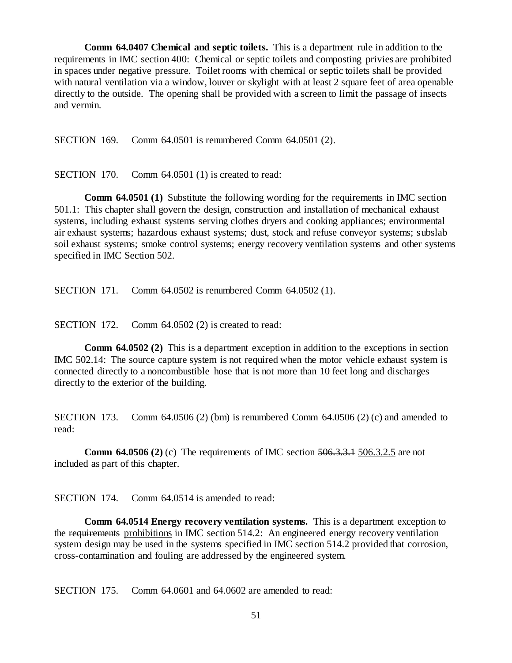**Comm 64.0407 Chemical and septic toilets.** This is a department rule in addition to the requirements in IMC section 400: Chemical or septic toilets and composting privies are prohibited in spaces under negative pressure. Toilet rooms with chemical or septic toilets shall be provided with natural ventilation via a window, louver or skylight with at least 2 square feet of area openable directly to the outside. The opening shall be provided with a screen to limit the passage of insects and vermin.

SECTION 169. Comm 64.0501 is renumbered Comm 64.0501 (2).

SECTION 170. Comm 64.0501 (1) is created to read:

**Comm 64.0501 (1)** Substitute the following wording for the requirements in IMC section 501.1: This chapter shall govern the design, construction and installation of mechanical exhaust systems, including exhaust systems serving clothes dryers and cooking appliances; environmental air exhaust systems; hazardous exhaust systems; dust, stock and refuse conveyor systems; subslab soil exhaust systems; smoke control systems; energy recovery ventilation systems and other systems specified in IMC Section 502.

SECTION 171. Comm 64.0502 is renumbered Comm 64.0502 (1).

SECTION 172. Comm 64.0502 (2) is created to read:

**Comm 64.0502 (2)** This is a department exception in addition to the exceptions in section IMC 502.14: The source capture system is not required when the motor vehicle exhaust system is connected directly to a noncombustible hose that is not more than 10 feet long and discharges directly to the exterior of the building.

SECTION 173. Comm 64.0506 (2) (bm) is renumbered Comm 64.0506 (2) (c) and amended to read:

**Comm 64.0506 (2)** (c) The requirements of IMC section 506.3.3.1 506.3.2.5 are not included as part of this chapter.

SECTION 174. Comm 64.0514 is amended to read:

**Comm 64.0514 Energy recovery ventilation systems.** This is a department exception to the requirements prohibitions in IMC section 514.2: An engineered energy recovery ventilation system design may be used in the systems specified in IMC section 514.2 provided that corrosion, cross-contamination and fouling are addressed by the engineered system.

SECTION 175. Comm 64.0601 and 64.0602 are amended to read: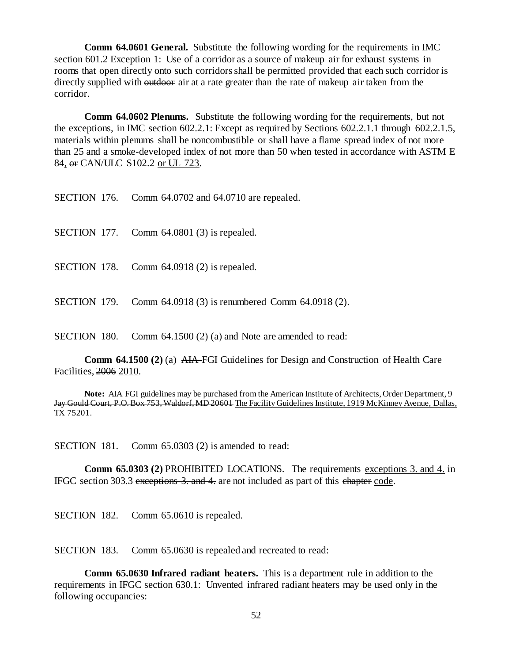**Comm 64.0601 General.** Substitute the following wording for the requirements in IMC section 601.2 Exception 1: Use of a corridor as a source of makeup air for exhaust systems in rooms that open directly onto such corridors shall be permitted provided that each such corridor is directly supplied with outdoor air at a rate greater than the rate of makeup air taken from the corridor.

**Comm 64.0602 Plenums.** Substitute the following wording for the requirements, but not the exceptions, in IMC section 602.2.1: Except as required by Sections 602.2.1.1 through 602.2.1.5, materials within plenums shall be noncombustible or shall have a flame spread index of not more than 25 and a smoke-developed index of not more than 50 when tested in accordance with ASTM E 84, or CAN/ULC S102.2 or UL 723.

| SECTION 176. |  | Comm 64.0702 and 64.0710 are repealed. |  |  |
|--------------|--|----------------------------------------|--|--|
|--------------|--|----------------------------------------|--|--|

- SECTION 177. Comm 64.0801 (3) is repealed.
- SECTION 178. Comm 64.0918 (2) is repealed.
- SECTION 179. Comm 64.0918 (3) is renumbered Comm 64.0918 (2).

SECTION 180. Comm 64.1500 (2) (a) and Note are amended to read:

**Comm 64.1500 (2)** (a) AIA FGI Guidelines for Design and Construction of Health Care Facilities, 2006 2010.

**Note:** AIA FGI guidelines may be purchased from the American Institute of Architects, Order Department, 9 Jay Gould Court, P.O. Box 753, Waldorf, MD 20601 The Facility Guidelines Institute, 1919 McKinney Avenue, Dallas, TX 75201.

SECTION 181. Comm 65.0303 (2) is amended to read:

**Comm 65.0303 (2)** PROHIBITED LOCATIONS. The requirements exceptions 3. and 4. in IFGC section 303.3 exceptions 3. and 4. are not included as part of this chapter code.

SECTION 182. Comm 65.0610 is repealed.

SECTION 183. Comm 65.0630 is repealed and recreated to read:

**Comm 65.0630 Infrared radiant heaters.** This is a department rule in addition to the requirements in IFGC section 630.1: Unvented infrared radiant heaters may be used only in the following occupancies: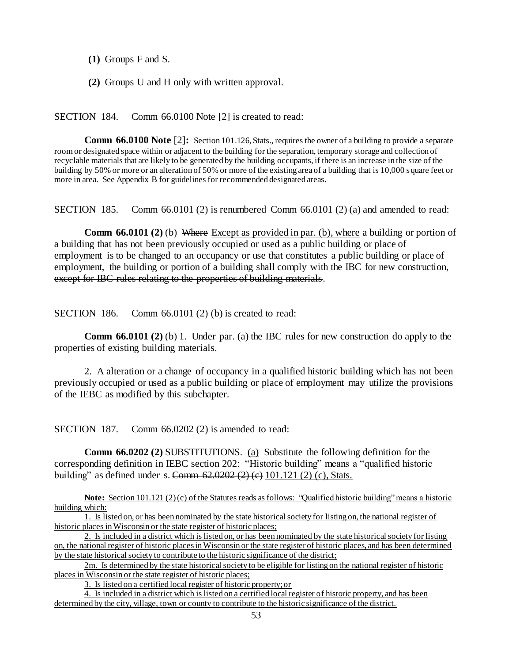**(1)** Groups F and S.

**(2)** Groups U and H only with written approval.

SECTION 184. Comm 66.0100 Note [2] is created to read:

**Comm 66.0100 Note** [2]: Section 101.126, Stats., requires the owner of a building to provide a separate room or designated space within or adjacent to the building for the separation, temporary storage and collection of recyclable materials that are likely to be generated by the building occupants, if there is an increase in the size of the building by 50% or more or an alteration of 50% or more of the existing area of a building that is 10,000 square feet or more in area. See Appendix B for guidelines for recommended designated areas.

SECTION 185. Comm 66.0101 (2) is renumbered Comm 66.0101 (2) (a) and amended to read:

**Comm 66.0101 (2)** (b) Where Except as provided in par. (b), where a building or portion of a building that has not been previously occupied or used as a public building or place of employment is to be changed to an occupancy or use that constitutes a public building or place of employment, the building or portion of a building shall comply with the IBC for new construction, except for IBC rules relating to the properties of building materials.

SECTION 186. Comm 66.0101 (2) (b) is created to read:

**Comm 66.0101 (2)** (b) 1. Under par. (a) the IBC rules for new construction do apply to the properties of existing building materials.

2. A alteration or a change of occupancy in a qualified historic building which has not been previously occupied or used as a public building or place of employment may utilize the provisions of the IEBC as modified by this subchapter.

SECTION 187. Comm 66.0202 (2) is amended to read:

**Comm 66.0202 (2)** SUBSTITUTIONS. (a) Substitute the following definition for the corresponding definition in IEBC section 202: "Historic building" means a "qualified historic building" as defined under s. Comm  $62.0202 (2) (e) 101.121 (2) (c)$ , Stats.

**Note:** Section 101.121 (2) (c) of the Statutes reads as follows: "Qualified historic building" means a historic building which:

2m. Is determined by the state historical society to be eligible for listing on the national register of historic places in Wisconsin or the state register of historic places;

3. Is listed on a certified local register of historic property; or

4. Is included in a district which is listed on a certified local register of historic property, and has been determined by the city, village, town or county to contribute to the historic significance of the district.

<sup>1.</sup> Is listed on, or has been nominated by the state historical society for listing on, the national register of historic places in Wisconsin or the state register of historic places;

<sup>2.</sup> Is included in a district which is listed on, or has been nominated by the state historical society for listing on, the national register of historic places in Wisconsin or the state register of historic places, and has been determined by the state historical society to contribute to the historic significance of the district;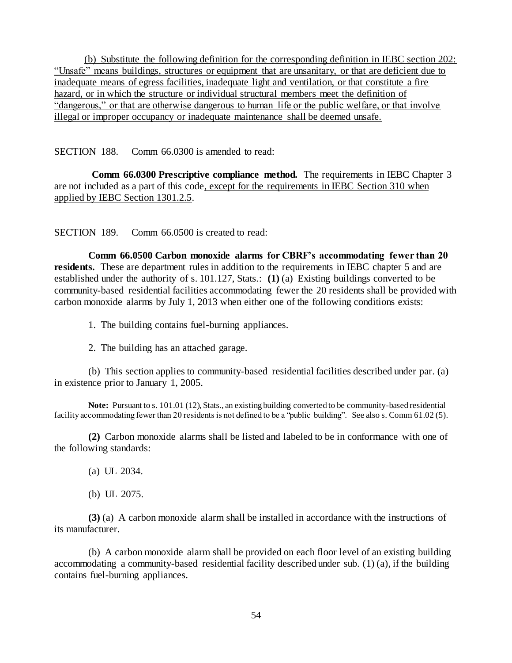(b) Substitute the following definition for the corresponding definition in IEBC section 202: "Unsafe" means buildings, structures or equipment that are unsanitary, or that are deficient due to inadequate means of egress facilities, inadequate light and ventilation, or that constitute a fire hazard, or in which the structure or individual structural members meet the definition of "dangerous," or that are otherwise dangerous to human life or the public welfare, or that involve illegal or improper occupancy or inadequate maintenance shall be deemed unsafe.

SECTION 188. Comm 66.0300 is amended to read:

**Comm 66.0300 Prescriptive compliance method.** The requirements in IEBC Chapter 3 are not included as a part of this code, except for the requirements in IEBC Section 310 when applied by IEBC Section 1301.2.5.

SECTION 189. Comm 66.0500 is created to read:

**Comm 66.0500 Carbon monoxide alarms for CBRF's accommodating fewer than 20 residents.** These are department rules in addition to the requirements in IEBC chapter 5 and are established under the authority of s. 101.127, Stats.: **(1)** (a) Existing buildings converted to be community-based residential facilities accommodating fewer the 20 residents shall be provided with carbon monoxide alarms by July 1, 2013 when either one of the following conditions exists:

1. The building contains fuel-burning appliances.

2. The building has an attached garage.

(b) This section applies to community-based residential facilities described under par. (a) in existence prior to January 1, 2005.

**Note:** Pursuant to s. 101.01 (12), Stats., an existing building converted to be community-based residential facility accommodating fewer than 20 residents is not defined to be a "public building". See also s. Comm 61.02 (5).

**(2)** Carbon monoxide alarms shall be listed and labeled to be in conformance with one of the following standards:

(a) UL 2034.

(b) UL 2075.

**(3)** (a) A carbon monoxide alarm shall be installed in accordance with the instructions of its manufacturer.

(b) A carbon monoxide alarm shall be provided on each floor level of an existing building accommodating a community-based residential facility described under sub. (1) (a), if the building contains fuel-burning appliances.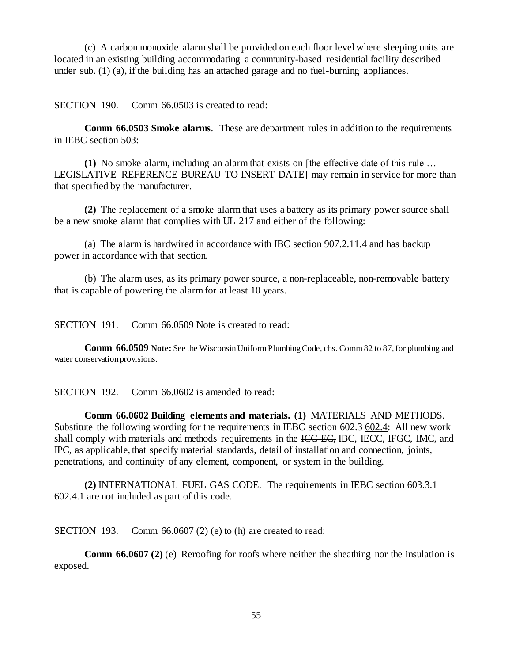(c) A carbon monoxide alarm shall be provided on each floor level where sleeping units are located in an existing building accommodating a community-based residential facility described under sub. (1) (a), if the building has an attached garage and no fuel-burning appliances.

SECTION 190. Comm 66.0503 is created to read:

**Comm 66.0503 Smoke alarms**. These are department rules in addition to the requirements in IEBC section 503:

**(1)** No smoke alarm, including an alarm that exists on [the effective date of this rule … LEGISLATIVE REFERENCE BUREAU TO INSERT DATE] may remain in service for more than that specified by the manufacturer.

**(2)** The replacement of a smoke alarm that uses a battery as its primary power source shall be a new smoke alarm that complies with UL 217 and either of the following:

(a) The alarm is hardwired in accordance with IBC section 907.2.11.4 and has backup power in accordance with that section.

(b) The alarm uses, as its primary power source, a non-replaceable, non-removable battery that is capable of powering the alarm for at least 10 years.

SECTION 191. Comm 66.0509 Note is created to read:

**Comm 66.0509 Note:** See the Wisconsin Uniform Plumbing Code, chs. Comm 82 to 87, for plumbing and water conservation provisions.

SECTION 192. Comm 66.0602 is amended to read:

**Comm 66.0602 Building elements and materials. (1)** MATERIALS AND METHODS. Substitute the following wording for the requirements in IEBC section 602.3 602.4: All new work shall comply with materials and methods requirements in the ICC EC, IBC, IECC, IFGC, IMC, and IPC, as applicable, that specify material standards, detail of installation and connection, joints, penetrations, and continuity of any element, component, or system in the building.

**(2)** INTERNATIONAL FUEL GAS CODE. The requirements in IEBC section 603.3.1 602.4.1 are not included as part of this code.

SECTION 193. Comm 66.0607 (2) (e) to (h) are created to read:

**Comm 66.0607 (2)** (e) Reroofing for roofs where neither the sheathing nor the insulation is exposed.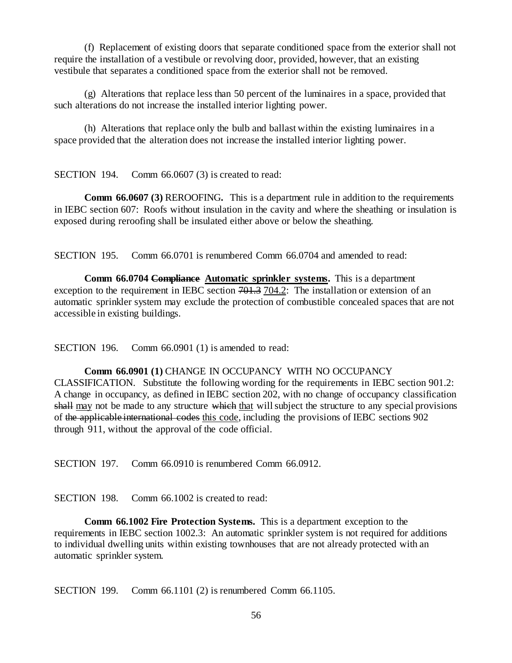(f) Replacement of existing doors that separate conditioned space from the exterior shall not require the installation of a vestibule or revolving door, provided, however, that an existing vestibule that separates a conditioned space from the exterior shall not be removed.

(g) Alterations that replace less than 50 percent of the luminaires in a space, provided that such alterations do not increase the installed interior lighting power.

(h) Alterations that replace only the bulb and ballast within the existing luminaires in a space provided that the alteration does not increase the installed interior lighting power.

SECTION 194. Comm 66.0607 (3) is created to read:

**Comm 66.0607 (3)** REROOFING**.** This is a department rule in addition to the requirements in IEBC section 607: Roofs without insulation in the cavity and where the sheathing or insulation is exposed during reroofing shall be insulated either above or below the sheathing.

SECTION 195. Comm 66.0701 is renumbered Comm 66.0704 and amended to read:

**Comm 66.0704 Compliance Automatic sprinkler systems.** This is a department exception to the requirement in IEBC section  $701.3$  704.2: The installation or extension of an automatic sprinkler system may exclude the protection of combustible concealed spaces that are not accessible in existing buildings.

SECTION 196. Comm 66.0901 (1) is amended to read:

**Comm 66.0901 (1)** CHANGE IN OCCUPANCY WITH NO OCCUPANCY CLASSIFICATION. Substitute the following wording for the requirements in IEBC section 901.2: A change in occupancy, as defined in IEBC section 202, with no change of occupancy classification shall may not be made to any structure which that will subject the structure to any special provisions of the applicable international codes this code, including the provisions of IEBC sections 902 through 911, without the approval of the code official.

SECTION 197. Comm 66.0910 is renumbered Comm 66.0912.

SECTION 198. Comm 66.1002 is created to read:

**Comm 66.1002 Fire Protection Systems.** This is a department exception to the requirements in IEBC section 1002.3: An automatic sprinkler system is not required for additions to individual dwelling units within existing townhouses that are not already protected with an automatic sprinkler system.

SECTION 199. Comm 66.1101 (2) is renumbered Comm 66.1105.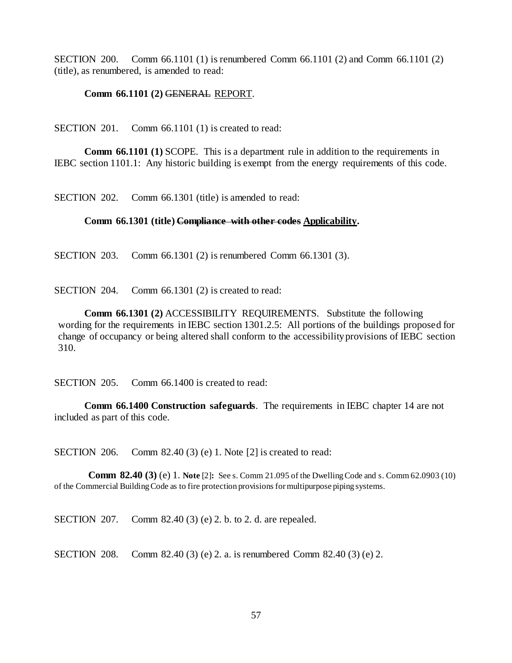SECTION 200. Comm 66.1101 (1) is renumbered Comm 66.1101 (2) and Comm 66.1101 (2) (title), as renumbered, is amended to read:

#### **Comm 66.1101 (2)** GENERAL REPORT.

SECTION 201. Comm 66.1101 (1) is created to read:

**Comm 66.1101 (1)** SCOPE. This is a department rule in addition to the requirements in IEBC section 1101.1: Any historic building is exempt from the energy requirements of this code.

SECTION 202. Comm 66.1301 (title) is amended to read:

#### **Comm 66.1301 (title) Compliance with other codes Applicability.**

SECTION 203. Comm 66.1301 (2) is renumbered Comm 66.1301 (3).

SECTION 204. Comm 66.1301 (2) is created to read:

**Comm 66.1301 (2)** ACCESSIBILITY REQUIREMENTS. Substitute the following wording for the requirements in IEBC section 1301.2.5: All portions of the buildings proposed for change of occupancy or being altered shall conform to the accessibility provisions of IEBC section 310.

SECTION 205. Comm 66.1400 is created to read:

**Comm 66.1400 Construction safeguards**. The requirements in IEBC chapter 14 are not included as part of this code.

SECTION 206. Comm 82.40 (3) (e) 1. Note [2] is created to read:

**Comm 82.40 (3)** (e) 1. **Note** [2]**:** See s. Comm 21.095 of the Dwelling Code and s. Comm 62.0903 (10) of the Commercial Building Code as to fire protection provisions for multipurpose piping systems.

SECTION 207. Comm 82.40 (3) (e) 2. b. to 2. d. are repealed.

SECTION 208. Comm 82.40 (3) (e) 2. a. is renumbered Comm 82.40 (3) (e) 2.